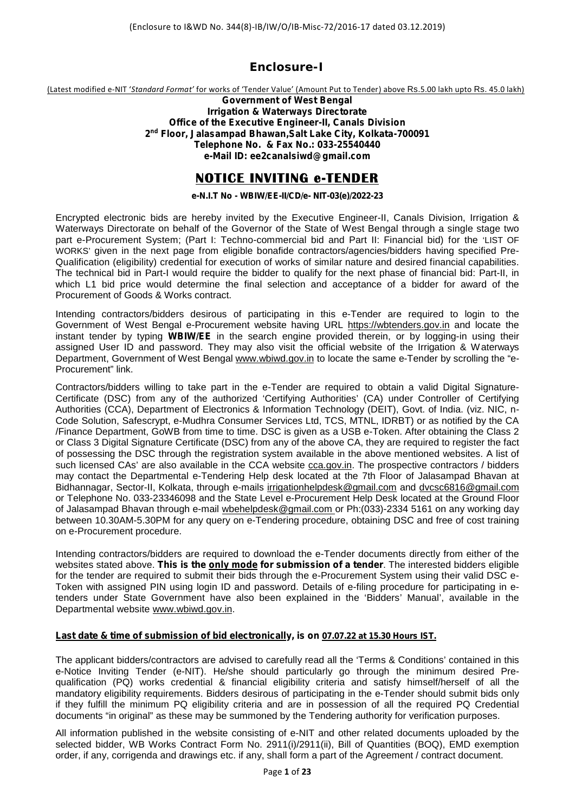## **Enclosure-I**

(Latest modified e-NIT '*Standard Format'* for works of 'Tender Value' (Amount Put to Tender) above Rs.5.00 lakh upto Rs.45.0 lakh)

*Government of West Bengal Irrigation & Waterways Directorate Office of the Executive Engineer-II, Canals Division 2 nd Floor, Jalasampad Bhawan,Salt Lake City, Kolkata-700091 Telephone No. & Fax No.: 033-25540440 e-Mail ID: ee2canalsiwd@gmail.com*

# **NOTICE INVITING e-TENDER**

## **e-N.I.T No - WBIW/EE-II/CD/e- NIT-03(e)/2022-23**

Encrypted electronic bids are hereby invited by the Executive Engineer-II, Canals Division, Irrigation & Waterways Directorate on behalf of the Governor of the State of West Bengal through a single stage two part e-Procurement System; (Part I: Techno-commercial bid and Part II: Financial bid) for the 'LIST OF WORKS' given in the next page from eligible bonafide contractors/agencies/bidders having specified Pre- Qualification (eligibility) credential for execution of works of similar nature and desired financial capabilities. The technical bid in Part-I would require the bidder to qualify for the next phase of financial bid: Part-II, in which L1 bid price would determine the final selection and acceptance of a bidder for award of the Procurement of Goods & Works contract.

Intending contractors/bidders desirous of participating in this e-Tender are required to login to the Government of West Bengal e-Procurement website having URL https://wbtenders.gov.in and locate the instant tender by typing **WBIW/EE** in the search engine provided therein, or by logging-in using their assigned User ID and password. They may also visit the official website of the Irrigation & Waterways Department, Government of West Bengal www.wbiwd.gov.in to locate the same e-Tender by scrolling the "e- Procurement" link.

Contractors/bidders willing to take part in the e-Tender are required to obtain a valid Digital Signature- Certificate (DSC) from any of the authorized 'Certifying Authorities' (CA) under Controller of Certifying Authorities (CCA), Department of Electronics & Information Technology (DEIT), Govt. of India. (viz. NIC, n- Code Solution, Safescrypt, e-Mudhra Consumer Services Ltd, TCS, MTNL, IDRBT) or as notified by the CA /Finance Department, GoWB from time to time. DSC is given as a USB e-Token. After obtaining the Class 2 or Class 3 Digital Signature Certificate (DSC) from any of the above CA, they are required to register the fact of possessing the DSC through the registration system available in the above mentioned websites. A list of such licensed CAs' are also available in the CCA website cca.gov.in. The prospective contractors / bidders may contact the Departmental e-Tendering Help desk located at the 7th Floor of Jalasampad Bhavan at Bidhannagar, Sector-II, Kolkata, through e-mails irrigationhelpdesk@gmail.com and dvcsc6816@gmail.com or Telephone No. 033-23346098 and the State Level e-Procurement Help Desk located at the Ground Floor of Jalasampad Bhavan through e-mail wbehelpdesk@gmail.com or Ph:(033)-2334 5161 on any working day between 10.30AM-5.30PM for any query on e-Tendering procedure, obtaining DSC and free of cost training on e-Procurement procedure.

Intending contractors/bidders are required to download the e-Tender documents directly from either of the websites stated above. **This is the only mode for submission of a tender**. The interested bidders eligible for the tender are required to submit their bids through the e-Procurement System using their valid DSC e- Token with assigned PIN using login ID and password. Details of e-filing procedure for participating in etenders under State Government have also been explained in the 'Bidders' Manual', available in the Departmental website www.wbiwd.gov.in.

#### **Last date & time of submission of bid electronically, is on 07.07.22 at 15.30 Hours IST.**

The applicant bidders/contractors are advised to carefully read all the 'Terms & Conditions' contained in this e-Notice Inviting Tender (e-NIT). He/she should particularly go through the minimum desired Pre qualification (PQ) works credential & financial eligibility criteria and satisfy himself/herself of all the mandatory eligibility requirements. Bidders desirous of participating in the e-Tender should submit bids only if they fulfill the minimum PQ eligibility criteria and are in possession of all the required PQ Credential documents "in original" as these may be summoned by the Tendering authority for verification purposes.

All information published in the website consisting of e-NIT and other related documents uploaded by the selected bidder, WB Works Contract Form No. 2911(i)/2911(ii), Bill of Quantities (BOQ), EMD exemption order, if any, corrigenda and drawings etc. if any, shall form a part of the Agreement / contract document.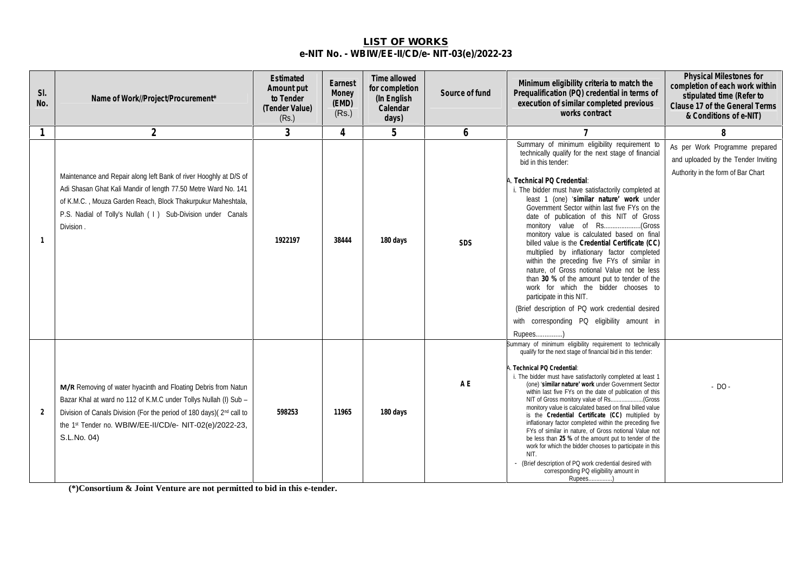## **LIST OF WORKS e-NIT No. - WBIW/EE-II/CD/e- NIT-03(e)/2022-23**

| SI.<br>No.   | Name of Work//Project/Procurement*                                                                                                                                                                                                                                                 | Estimated<br>Amount put<br>to Tender<br>(Tender Value)<br>(Rs.) | Earnest<br>Money<br>(EMD)<br>(Rs.) | Time allowed<br>for completion<br>(In English<br>Calendar<br>days) | Source of fund | Minimum eligibility criteria to match the<br>Prequalification (PQ) credential in terms of<br>execution of similar completed previous<br>works contract                                                                                                                                                                                                                                                                                                                                                                                                                                                                                                                                                                                                                                                                                                                             | <b>Physical Milestones for</b><br>completion of each work within<br>stipulated time (Refer to<br>Clause 17 of the General Terms<br>& Conditions of e-NIT) |
|--------------|------------------------------------------------------------------------------------------------------------------------------------------------------------------------------------------------------------------------------------------------------------------------------------|-----------------------------------------------------------------|------------------------------------|--------------------------------------------------------------------|----------------|------------------------------------------------------------------------------------------------------------------------------------------------------------------------------------------------------------------------------------------------------------------------------------------------------------------------------------------------------------------------------------------------------------------------------------------------------------------------------------------------------------------------------------------------------------------------------------------------------------------------------------------------------------------------------------------------------------------------------------------------------------------------------------------------------------------------------------------------------------------------------------|-----------------------------------------------------------------------------------------------------------------------------------------------------------|
| $\mathbf{1}$ | $\overline{2}$                                                                                                                                                                                                                                                                     | $\overline{3}$                                                  | 4                                  | 5                                                                  | 6              |                                                                                                                                                                                                                                                                                                                                                                                                                                                                                                                                                                                                                                                                                                                                                                                                                                                                                    | 8                                                                                                                                                         |
| $\mathbf{1}$ | Maintenance and Repair along left Bank of river Hooghly at D/S of<br>Adi Shasan Ghat Kali Mandir of length 77.50 Metre Ward No. 141<br>of K.M.C., Mouza Garden Reach, Block Thakurpukur Maheshtala,<br>P.S. Nadial of Tolly's Nullah ( I ) Sub-Division under Canals<br>Division.  | 1922197                                                         | 38444                              | 180 days                                                           | SDS            | Summary of minimum eligibility requirement to<br>technically qualify for the next stage of financial<br>bid in this tender:<br>A. Technical PQ Credential:<br>i. The bidder must have satisfactorily completed at<br>least 1 (one) 'similar nature' work under<br>Government Sector within last five FYs on the<br>date of publication of this NIT of Gross<br>monitory value is calculated based on final<br>billed value is the Credential Certificate (CC)<br>multiplied by inflationary factor completed<br>within the preceding five FYs of similar in<br>nature, of Gross notional Value not be less<br>than 30 % of the amount put to tender of the<br>work for which the bidder chooses to<br>participate in this NIT.<br>(Brief description of PQ work credential desired<br>with corresponding PQ eligibility amount in                                                  | As per Work Programme prepared<br>and uploaded by the Tender Inviting<br>Authority in the form of Bar Chart                                               |
| 2            | M/R Removing of water hyacinth and Floating Debris from Natun<br>Bazar Khal at ward no 112 of K.M.C under Tollys Nullah (I) Sub -<br>Division of Canals Division (For the period of 180 days)(2nd call to<br>the 1st Tender no. WBIW/EE-II/CD/e- NIT-02(e)/2022-23,<br>S.L.No. 04) | 598253                                                          | 11965                              | 180 days                                                           | A E            | Rupees)<br>Summary of minimum eligibility requirement to technically<br>qualify for the next stage of financial bid in this tender:<br>A. Technical PQ Credential:<br>i. The bidder must have satisfactorily completed at least 1<br>(one) 'similar nature' work under Government Sector<br>within last five FYs on the date of publication of this<br>NIT of Gross monitory value of Rs<br>(Gross<br>monitory value is calculated based on final billed value<br>is the Credential Certificate (CC) multiplied by<br>inflationary factor completed within the preceding five<br>FYs of similar in nature, of Gross notional Value not<br>be less than 25 % of the amount put to tender of the<br>work for which the bidder chooses to participate in this<br>NIT.<br>- (Brief description of PQ work credential desired with<br>corresponding PQ eligibility amount in<br>Rupees) | $-$ DO $-$                                                                                                                                                |

**(\*)Consortium & Joint Venture are not permitted to bid in this e-tender.**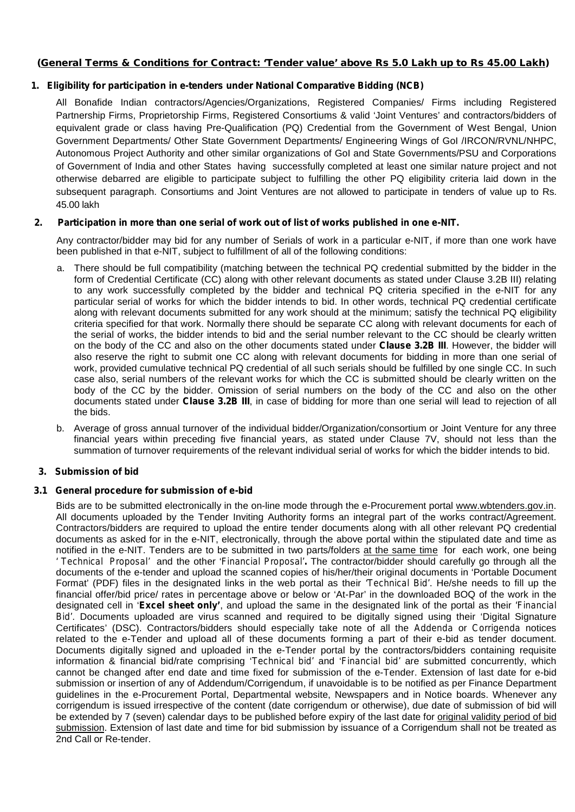**(General Terms & Conditions for Contract: 'Tender value' above Rs 5.0 Lakh up to Rs 45.00 Lakh)**

## **1. Eligibility for participation in e-tenders under National Comparative Bidding (NCB)**

All Bonafide Indian contractors/Agencies/Organizations, Registered Companies/ Firms including Registered Partnership Firms, Proprietorship Firms, Registered Consortiums & valid 'Joint Ventures' and contractors/bidders of equivalent grade or class having Pre-Qualification (PQ) Credential from the Government of West Bengal, Union Government Departments/ Other State Government Departments/ Engineering Wings of GoI /IRCON/RVNL/NHPC, Autonomous Project Authority and other similar organizations of GoI and State Governments/PSU and Corporations of Government of India and other States having successfully completed at least one similar nature project and not otherwise debarred are eligible to participate subject to fulfilling the other PQ eligibility criteria laid down in the subsequent paragraph. Consortiums and Joint Ventures are not allowed to participate in tenders of value up to Rs. 45.00 lakh

## **2. Participation in more than one serial of work out of list of works published in one e-NIT.**

Any contractor/bidder may bid for any number of Serials of work in a particular e-NIT, if more than one work have been published in that e-NIT, subject to fulfillment of all of the following conditions:

- a. There should be full compatibility (matching between the technical PQ credential submitted by the bidder in the form of Credential Certificate (CC) along with other relevant documents as stated under Clause 3.2B III) relating to any work successfully completed by the bidder and technical PQ criteria specified in the e-NIT for any particular serial of works for which the bidder intends to bid. In other words, technical PQ credential certificate along with relevant documents submitted for any work should at the minimum; satisfy the technical PQ eligibility criteria specified for that work. Normally there should be separate CC along with relevant documents for each of the serial of works, the bidder intends to bid and the serial number relevant to the CC should be clearly written on the body of the CC and also on the other documents stated under **Clause 3.2B III**. However, the bidder will also reserve the right to submit one CC along with relevant documents for bidding in more than one serial of work, provided cumulative technical PQ credential of all such serials should be fulfilled by one single CC. In such case also, serial numbers of the relevant works for which the CC is submitted should be clearly written on the body of the CC by the bidder. Omission of serial numbers on the body of the CC and also on the other documents stated under **Clause 3.2B III**, in case of bidding for more than one serial will lead to rejection of all the bids.
- b. Average of gross annual turnover of the individual bidder/Organization/consortium or Joint Venture for any three financial years within preceding five financial years, as stated under Clause 7V, should not less than the summation of turnover requirements of the relevant individual serial of works for which the bidder intends to bid.

## **3. Submission of bid**

## **3.1 General procedure for submission of e-bid**

Bids are to be submitted electronically in the on-line mode through the e-Procurement portal www.wbtenders.gov.in. All documents uploaded by the Tender Inviting Authority forms an integral part of the works contract/Agreement. Contractors/bidders are required to upload the entire tender documents along with all other relevant PQ credential documents as asked for in the e-NIT, electronically, through the above portal within the stipulated date and time as notified in the e-NIT. Tenders are to be submitted in two parts/folders at the same time for each work, one being *' Technical Proposal'* and the other '*Financial Proposal'.* The contractor/bidder should carefully go through all the documents of the e-tender and upload the scanned copies of his/her/their original documents in 'Portable Document Format' (PDF) files in the designated links in the web portal as their *'Technical Bid'*. He/she needs to fill up the financial offer/bid price/ rates in percentage above or below or 'At-Par' in the downloaded BOQ of the work in the designated cell in '**Excel sheet only'**, and upload the same in the designated link of the portal as their *'Financial Bid'*. Documents uploaded are virus scanned and required to be digitally signed using their 'Digital Signature Certificates' (DSC). Contractors/bidders should especially take note of all the *Addenda* or *Corrigenda* notices related to the e-Tender and upload all of these documents forming a part of their e-bid as tender document. Documents digitally signed and uploaded in the e-Tender portal by the contractors/bidders containing requisite information & financial bid/rate comprising '*Technical bid'* and '*Financial bid'* are submitted concurrently, which cannot be changed after end date and time fixed for submission of the e-Tender. Extension of last date for e-bid submission or insertion of any of Addendum/Corrigendum, if unavoidable is to be notified as per Finance Department guidelines in the e-Procurement Portal, Departmental website, Newspapers and in Notice boards. Whenever any corrigendum is issued irrespective of the content (date corrigendum or otherwise), due date of submission of bid will be extended by 7 (seven) calendar days to be published before expiry of the last date for original validity period of bid submission. Extension of last date and time for bid submission by issuance of a Corrigendum shall not be treated as 2nd Call or Re-tender.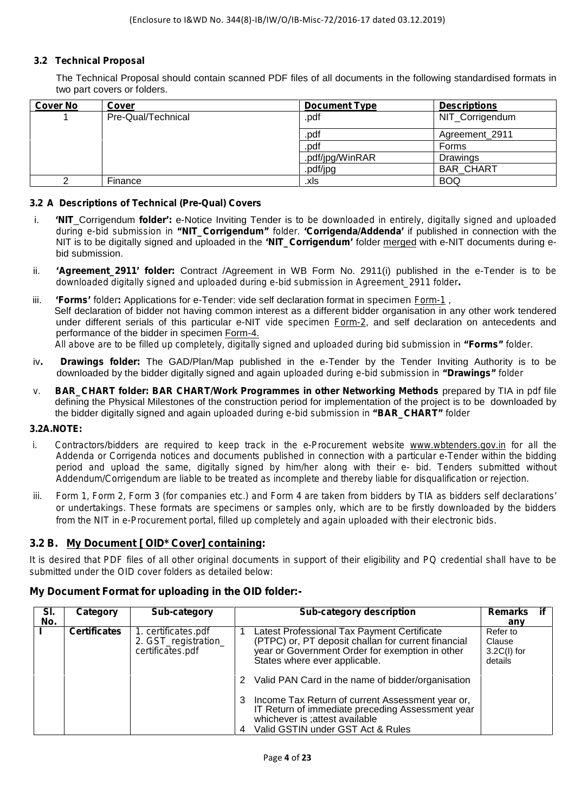## **3.2 Technical Proposal**

The Technical Proposal should contain scanned PDF files of all documents in the following standardised formats in two part covers or folders.

| <b>Cover No</b> | Cover              | <b>Document Type</b> | <b>Descriptions</b> |
|-----------------|--------------------|----------------------|---------------------|
|                 | Pre-Qual/Technical | .pdf                 | NIT_Corrigendum     |
|                 |                    | .pdf                 | Agreement_2911      |
|                 |                    | .pdf                 | Forms               |
|                 |                    | .pdf/jpg/WinRAR      | Drawings            |
|                 |                    | .pdf/jpg             | <b>BAR CHART</b>    |
|                 | Finance            | .xls                 | <b>BOQ</b>          |

#### **3.2 A Descriptions of Technical (Pre-Qual) Covers**

- i. **'NIT**\_Corrigendum **folder':** e-Notice Inviting Tender is *to be downloaded in entirely, digitally signed and uploaded during e-bid submission in "NIT\_Corrigendum" folder.* **'Corrigenda/Addenda'** if published in connection with the NIT is to be digitally signed and uploaded in the **'NIT\_Corrigendum'** folder merged with e-NIT documents during e bid submission.
- ii. **'Agreement 2911' folder:** Contract /Agreement in WB Form No. 2911(i) published in the e-Tender is *to be downloaded digitally signed and uploaded during e-bid submission in Agreement\_2911 folder.*
- iii. **'Forms'** *folder***:** Applications for e-Tender: vide self declaration format in specimen *Form-1* , Self declaration of bidder not having common interest as a different bidder organisation in any other work tendered under different serials of this particular e-NIT *vide specimen Form-2*, and self declaration on antecedents and performance of the bidder in specimen Form-4. *All above are to be filled up completely, digitally signed and uploaded during bid submission in "Forms" folder.*
- iv**. Drawings folder:** The GAD/Plan/Map published in the e-Tender by the Tender Inviting Authority is to be downloaded by the bidder digitally signed and again *uploaded during e-bid submission in "Drawings" folder*
- *v.* **BAR\_CHART folder: BAR CHART/Work Programmes in other Networking Methods** prepared by TIA in *pdf* file defining the Physical Milestones of the construction period for implementation of the project is to be downloaded by the bidder digitally signed and again *uploaded during e-bid submission in "BAR\_CHART" folder*

## *3.2A.NOTE:*

- *i. Contractors*/*bidders are required to keep track in the e-Procurement website www.wbtenders.gov.in for all the Addenda or Corrigenda notices and documents published in connection with a particular e-Tender within the bidding period and upload the same, digitally signed by him/her along with their e- bid. Tenders submitted without Addendum/Corrigendum are liable to be treated as incomplete and thereby liable for disqualification or rejection.*
- *iii. Form 1, Form 2, Form 3 (for companies etc.) and Form 4 are taken from bidders by TIA as bidders self declarations' or undertakings. These formats are specimens or samples only, which are to be firstly downloaded by the bidders from the NIT in e-Procurement portal, filled up completely and again uploaded with their electronic bids.*

## **3.2 B.** *My Document [ OID\* Cover] containing:*

*It is desired that PDF files of all other original documents in support of their eligibility and PQ credential shall have to be submitted under the OID cover folders as detailed below:*

## **My Document Format for uploading in the OID folder:-**

| SI.<br>No. | Category            | Sub-category                                                    | <b>Sub-category description</b>                                                                                                                                                        | if<br>Remarks<br>any                           |
|------------|---------------------|-----------------------------------------------------------------|----------------------------------------------------------------------------------------------------------------------------------------------------------------------------------------|------------------------------------------------|
|            | <b>Certificates</b> | 1. certificates.pdf<br>2. GST_registration_<br>certificates.pdf | Latest Professional Tax Payment Certificate<br>(PTPC) or, PT deposit challan for current financial<br>year or Government Order for exemption in other<br>States where ever applicable. | Refer to<br>Clause<br>$3.2C(1)$ for<br>details |
|            |                     |                                                                 | 2 Valid PAN Card in the name of bidder/organisation                                                                                                                                    |                                                |
|            |                     |                                                                 | Income Tax Return of current Assessment year or,<br>3<br>IT Return of immediate preceding Assessment year<br>whichever is ; attest available<br>Valid GSTIN under GST Act & Rules      |                                                |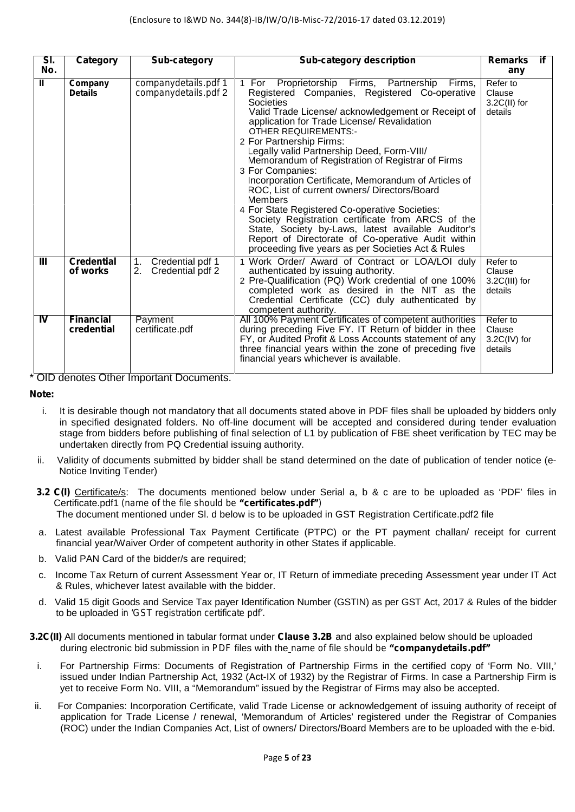| SI.<br>No.     | Category                       | Sub-category                                     | <b>Sub-category description</b>                                                                                                                                                                                                                                                                                                                                                                                                                                                                                                                                                                                                                                                                                                                                                                          | if<br><b>Remarks</b><br>any                      |
|----------------|--------------------------------|--------------------------------------------------|----------------------------------------------------------------------------------------------------------------------------------------------------------------------------------------------------------------------------------------------------------------------------------------------------------------------------------------------------------------------------------------------------------------------------------------------------------------------------------------------------------------------------------------------------------------------------------------------------------------------------------------------------------------------------------------------------------------------------------------------------------------------------------------------------------|--------------------------------------------------|
| $\mathbf{u}$   | Company<br><b>Details</b>      | companydetails.pdf 1<br>companydetails.pdf 2     | 1 For Proprietorship Firms, Partnership<br>Firms,<br>Registered Companies, Registered Co-operative<br>Societies<br>Valid Trade License/ acknowledgement or Receipt of<br>application for Trade License/ Revalidation<br><b>OTHER REQUIREMENTS:-</b><br>2 For Partnership Firms:<br>Legally valid Partnership Deed, Form-VIII/<br>Memorandum of Registration of Registrar of Firms<br>3 For Companies:<br>Incorporation Certificate, Memorandum of Articles of<br>ROC, List of current owners/ Directors/Board<br><b>Members</b><br>4 For State Registered Co-operative Societies:<br>Society Registration certificate from ARCS of the<br>State, Society by-Laws, latest available Auditor's<br>Report of Directorate of Co-operative Audit within<br>proceeding five years as per Societies Act & Rules | Refer to<br>Clause<br>$3.2C(II)$ for<br>details  |
| Ш              | <b>Credential</b><br>of works  | Credential pdf 1<br>1.<br>Credential pdf 2<br>2. | 1 Work Order/ Award of Contract or LOA/LOI duly<br>authenticated by issuing authority.<br>2 Pre-Qualification (PQ) Work credential of one 100%<br>completed work as desired in the NIT as the<br>Credential Certificate (CC) duly authenticated by<br>competent authority.                                                                                                                                                                                                                                                                                                                                                                                                                                                                                                                               | Refer to<br>Clause<br>$3.2C(III)$ for<br>details |
| $\overline{N}$ | <b>Financial</b><br>credential | Payment<br>certificate.pdf                       | All 100% Payment Certificates of competent authorities<br>during preceding Five FY. IT Return of bidder in thee<br>FY, or Audited Profit & Loss Accounts statement of any<br>three financial years within the zone of preceding five<br>financial years whichever is available.                                                                                                                                                                                                                                                                                                                                                                                                                                                                                                                          | Refer to<br>Clause<br>3.2C(IV) for<br>details    |

\* OID denotes Other Important Documents.

## **Note:**

- i. It is desirable though not mandatory that all documents stated above in PDF files shall be uploaded by bidders only in specified designated folders. No off-line document will be accepted and considered during tender evaluation stage from bidders before publishing of final selection of L1 by publication of FBE sheet verification by TEC may be undertaken directly from PQ Credential issuing authority.
- ii. Validity of documents submitted by bidder shall be stand determined on the date of publication of tender notice (e-<br>Notice Inviting Tender)
- **3.2 C(I)** Certificate/s: The documents mentioned below under Serial a, b & c are to be uploaded as 'PDF' files in Certificate.pdf1 *(name of the file should be "certificates.pdf")* The document mentioned under Sl. d below is to be uploaded in GST Registration Certificate.pdf2 file
- a. Latest available Professional Tax Payment Certificate (PTPC) or the PT payment challan/ receipt for current financial year/Waiver Order of competent authority in other States if applicable.
- b. Valid PAN Card of the bidder/s are required;
- c. Income Tax Return of current Assessment Year or, IT Return of immediate preceding Assessment year under IT Act & Rules, whichever latest available with the bidder.
- d. Valid 15 digit Goods and Service Tax payer Identification Number (GSTIN) as per GST Act, 2017 & Rules of the bidder to be uploaded *in 'GST registration certificate pdf'.*

#### **3.2C(II)** All documents mentioned in tabular format under **Clause 3.2B** and also explained below should be uploaded during electronic bid submission in *PDF* files with the *name of file should be "companydetails.pdf"*

- i. For Partnership Firms: Documents of Registration of Partnership Firms in the certified copy of 'Form No. VIII,' issued under Indian Partnership Act, 1932 (Act-IX of 1932) by the Registrar of Firms. In case a Partnership Firm is yet to receive Form No. VIII, a "Memorandum" issued by the Registrar of Firms may also be accepted.
- ii. For Companies: Incorporation Certificate, valid Trade License or acknowledgement of issuing authority of receipt of application for Trade License / renewal, 'Memorandum of Articles' registered under the Registrar of Companies (ROC) under the Indian Companies Act, List of owners/ Directors/Board Members are to be uploaded with the e-bid.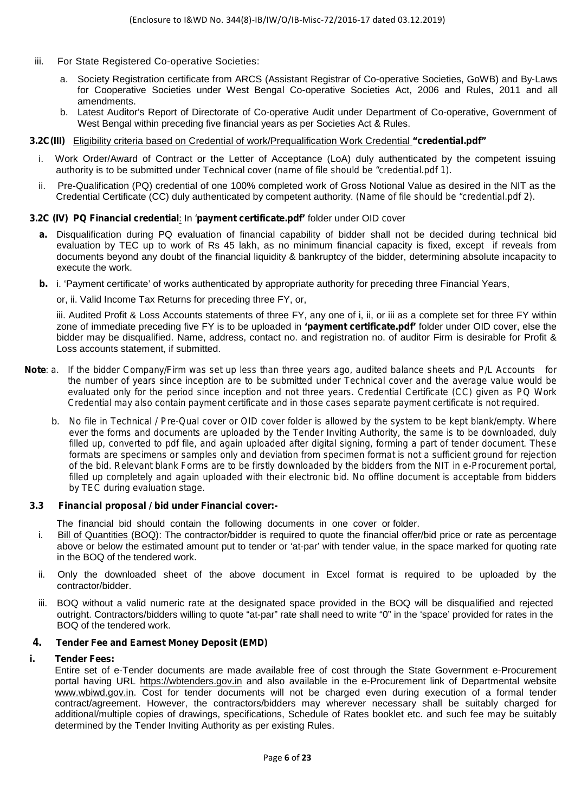- iii. For State Registered Co-operative Societies:
	- a. Society Registration certificate from ARCS (Assistant Registrar of Co-operative Societies, GoWB) and By-Laws for Cooperative Societies under West Bengal Co-operative Societies Act, 2006 and Rules, 2011 and all amendments.
	- b. Latest Auditor's Report of Directorate of Co-operative Audit under Department of Co-operative, Government of West Bengal within preceding five financial years as per Societies Act & Rules.

### **3.2C(III)** Eligibility criteria based on Credential of work/Prequalification Work Credential *"credential.pdf"*

- i. Work Order/Award of Contract or the Letter of Acceptance (LoA) duly authenticated by the competent issuing authority is to be submitted under Technical cover *(name of file should be "credential.pdf 1).*
- ii. Pre-Qualification (PQ) credential of one 100% completed work of Gross Notional Value as desired in the NIT as the Credential Certificate (CC) duly authenticated by competent authority. *(Name of file should be "credential.pdf 2).*

## **3.2C (IV) PQ Financial credential***:* In *'payment certificate.pdf'* folder under OID *co*ver

- **a.** Disqualification during PQ evaluation of financial capability of bidder shall not be decided during technical bid evaluation by TEC up to work of Rs 45 lakh, as no minimum financial capacity is fixed, except if reveals from documents beyond any doubt of the financial liquidity & bankruptcy of the bidder, determining absolute incapacity to execute the work.
- **b.** i. 'Payment certificate' of works authenticated by appropriate authority for preceding three Financial Years,

or, ii. Valid Income Tax Returns for preceding three FY, or,

iii. Audited Profit & Loss Accounts statements of three FY, any one of i, ii, or iii as a complete set for three FY within zone of immediate preceding five FY is to be uploaded in **'***payment certificate.pdf'* folder under OID cover, else the bidder may be disqualified. Name, address, contact no. and registration no. of auditor Firm is desirable for Profit & Loss accounts statement, if submitted.

- *Note: a. If the bidder Company/Firm was set up less than three years ago, audited balance sheets and P/L Accounts for the number of years since inception are to be submitted under Technical cover and the average value would be evaluated only for the period since inception and not three years. Credential Certificate (CC) given as PQ Work Credential may also contain payment certificate and in those cases separate payment certificate is not required.*
	- b. *No file in Technical / Pre-Qual cover or OID cover folder is allowed by the system to be kept blank/empty. Where ever the forms and documents are uploaded by the Tender Inviting Authority, the same is to be downloaded, duly filled up, converted to pdf file, and again uploaded after digital signing, forming a part of tender document. These formats are specimens or samples only and deviation from specimen format is not a sufficient ground for rejection of the bid. Relevant blank Forms are to be firstly downloaded by the bidders from the NIT in e-Procurement portal, filled up completely and again uploaded with their electronic bid. No offline document is acceptable from bidders by TEC during evaluation stage.*

#### **3.3 Financial proposal / bid under Financial cover:-**

- The financial bid should contain the following documents in one cover or folder.
- i. Bill of Quantities (BOQ): The contractor/bidder is required to quote the financial offer/bid price or rate as percentage above or below the estimated amount put to tender or 'at-par' with tender value, in the space marked for quoting rate in the BOQ of the tendered work.
- ii. Only the downloaded sheet of the above document in Excel format is required to be uploaded by the contractor/bidder.
- iii. BOQ without a valid numeric rate at the designated space provided in the BOQ will be disqualified and rejected outright. Contractors/bidders willing to quote "at-par" rate shall need to write "0" in the 'space' provided for rates in the BOQ of the tendered work.

## **4. Tender Fee and Earnest Money Deposit (EMD)**

## *i. Tender Fees:*

Entire set of e-Tender documents are made available free of cost through the State Government e-Procurement portal having URL https://wbtenders.gov.in and also available in the e-Procurement link of Departmental website www.wbiwd.gov.in. Cost for tender documents will not be charged even during execution of a formal tender contract/agreement. However, the contractors/bidders may wherever necessary shall be suitably charged for additional/multiple copies of drawings, specifications, Schedule of Rates booklet etc. and such fee may be suitably determined by the Tender Inviting Authority as per existing Rules.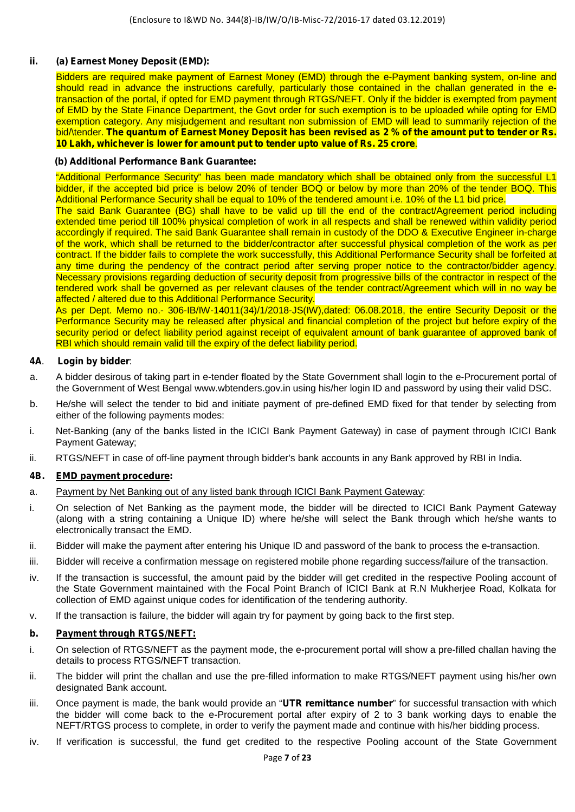## *ii. (a) Earnest Money Deposit (EMD):*

Bidders are required make payment of Earnest Money (EMD) through the e-Payment banking system, on-line and should read in advance the instructions carefully, particularly those contained in the challan generated in the etransaction of the portal, if opted for EMD payment through RTGS/NEFT. Only if the bidder is exempted from payment of EMD by the State Finance Department, the Govt order for such exemption is to be uploaded while opting for EMD exemption category. Any misjudgement and resultant non submission of EMD will lead to summarily rejection of the bid/\tender. **The quantum of Earnest Money Deposit has been revised as 2 % of the amount put to tender or Rs. 10 Lakh, whichever is lower for amount put to tender upto value of Rs. 25 crore**.

### **(b) Additional Performance Bank Guarantee:**

"Additional Performance Security" has been made mandatory which shall be obtained only from the successful L1 bidder, if the accepted bid price is below 20% of tender BOQ or below by more than 20% of the tender BOQ. This Additional Performance Security shall be equal to 10% of the tendered amount i.e. 10% of the L1 bid price.

The said Bank Guarantee (BG) shall have to be valid up till the end of the contract/Agreement period including extended time period till 100% physical completion of work in all respects and shall be renewed within validity period accordingly if required. The said Bank Guarantee shall remain in custody of the DDO & Executive Engineer in-charge of the work, which shall be returned to the bidder/contractor after successful physical completion of the work as per contract. If the bidder fails to complete the work successfully, this Additional Performance Security shall be forfeited at any time during the pendency of the contract period after serving proper notice to the contractor/bidder agency. Necessary provisions regarding deduction of security deposit from progressive bills of the contractor in respect of the tendered work shall be governed as per relevant clauses of the tender contract/Agreement which will in no way be affected / altered due to this Additional Performance Security.

As per Dept. Memo no.- 306-IB/IW-14011(34)/1/2018-JS(IW),dated: 06.08.2018, the entire Security Deposit or the Performance Security may be released after physical and financial completion of the project but before expiry of the security period or defect liability period against receipt of equivalent amount of bank guarantee of approved bank of RBI which should remain valid till the expiry of the defect liability period.

## **4A**. **Login by bidder**:

- a. A bidder desirous of taking part in e-tender floated by the State Government shall login to the e-Procurement portal of the Government of West Bengal www.wbtenders.gov.in using his/her login ID and password by using their valid DSC.
- b. He/she will select the tender to bid and initiate payment of pre-defined EMD fixed for that tender by selecting from either of the following payments modes:
- i. Net-Banking (any of the banks listed in the ICICI Bank Payment Gateway) in case of payment through ICICI Bank Payment Gateway;
- ii. RTGS/NEFT in case of off-line payment through bidder's bank accounts in any Bank approved by RBI in India.

#### **4B. EMD payment procedure:**

- a. Payment by Net Banking out of any listed bank through ICICI Bank Payment Gateway:
- i. On selection of Net Banking as the payment mode, the bidder will be directed to ICICI Bank Payment Gateway (along with a string containing a Unique ID) where he/she will select the Bank through which he/she wants to electronically transact the EMD.
- ii. Bidder will make the payment after entering his Unique ID and password of the bank to process the e-transaction.
- iii. Bidder will receive a confirmation message on registered mobile phone regarding success/failure of the transaction.
- iv. If the transaction is successful, the amount paid by the bidder will get credited in the respective Pooling account of the State Government maintained with the Focal Point Branch of ICICI Bank at R.N Mukherjee Road, Kolkata for collection of EMD against unique codes for identification of the tendering authority.
- v. If the transaction is failure, the bidder will again try for payment by going back to the first step.

## **b. Payment through RTGS/NEFT:**

- i. On selection of RTGS/NEFT as the payment mode, the e-procurement portal will show a pre-filled challan having the details to process RTGS/NEFT transaction.
- ii. The bidder will print the challan and use the pre-filled information to make RTGS/NEFT payment using his/her own designated Bank account.
- iii. Once payment is made, the bank would provide an "**UTR remittance number**" for successful transaction with which the bidder will come back to the e-Procurement portal after expiry of 2 to 3 bank working days to enable the NEFT/RTGS process to complete, in order to verify the payment made and continue with his/her bidding process.
- iv. If verification is successful, the fund get credited to the respective Pooling account of the State Government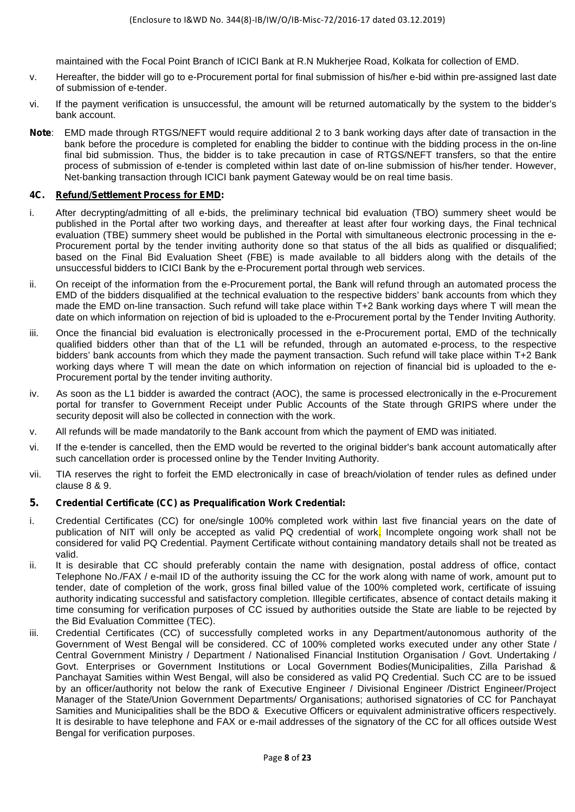maintained with the Focal Point Branch of ICICI Bank at R.N Mukherjee Road, Kolkata for collection of EMD.

- v. Hereafter, the bidder will go to e-Procurement portal for final submission of his/her e-bid within pre-assigned last date of submission of e-tender.
- vi. If the payment verification is unsuccessful, the amount will be returned automatically by the system to the bidder's bank account.
- **Note**: EMD made through RTGS/NEFT would require additional 2 to 3 bank working days after date of transaction in the bank before the procedure is completed for enabling the bidder to continue with the bidding process in the on-line final bid submission. Thus, the bidder is to take precaution in case of RTGS/NEFT transfers, so that the entire process of submission of e-tender is completed within last date of on-line submission of his/her tender. However, Net-banking transaction through ICICI bank payment Gateway would be on real time basis.

## **4C. Refund/Settlement Process for EMD:**

- i. After decrypting/admitting of all e-bids, the preliminary technical bid evaluation (TBO) summery sheet would be published in the Portal after two working days, and thereafter at least after four working days, the Final technical evaluation (TBE) summery sheet would be published in the Portal with simultaneous electronic processing in the e- Procurement portal by the tender inviting authority done so that status of the all bids as qualified or disqualified; based on the Final Bid Evaluation Sheet (FBE) is made available to all bidders along with the details of the unsuccessful bidders to ICICI Bank by the e-Procurement portal through web services.
- ii. On receipt of the information from the e-Procurement portal, the Bank will refund through an automated process the EMD of the bidders disqualified at the technical evaluation to the respective bidders' bank accounts from which they made the EMD on-line transaction. Such refund will take place within T+2 Bank working days where T will mean the date on which information on rejection of bid is uploaded to the e-Procurement portal by the Tender Inviting Authority.
- iii. Once the financial bid evaluation is electronically processed in the e-Procurement portal, EMD of the technically qualified bidders other than that of the L1 will be refunded, through an automated e-process, to the respective bidders' bank accounts from which they made the payment transaction. Such refund will take place within T+2 Bank working days where T will mean the date on which information on rejection of financial bid is uploaded to the e- Procurement portal by the tender inviting authority.
- iv. As soon as the L1 bidder is awarded the contract (AOC), the same is processed electronically in the e-Procurement portal for transfer to Government Receipt under Public Accounts of the State through GRIPS where under the security deposit will also be collected in connection with the work.
- v. All refunds will be made mandatorily to the Bank account from which the payment of EMD was initiated.
- vi. If the e-tender is cancelled, then the EMD would be reverted to the original bidder's bank account automatically after such cancellation order is processed online by the Tender Inviting Authority.
- vii. TIA reserves the right to forfeit the EMD electronically in case of breach/violation of tender rules as defined under clause 8 & 9.

## **5. Credential Certificate (CC) as Prequalification Work Credential:**

- i. Credential Certificates (CC) for one/single 100% completed work within last five financial years on the date of publication of NIT will only be accepted as valid PQ credential of work. Incomplete ongoing work shall not be considered for valid PQ Credential. Payment Certificate without containing mandatory details shall not be treated as valid.
- ii. It is desirable that CC should preferably contain the name with designation, postal address of office, contact Telephone No./FAX / e-mail ID of the authority issuing the CC for the work along with name of work, amount put to tender, date of completion of the work, gross final billed value of the 100% completed work, certificate of issuing authority indicating successful and satisfactory completion. Illegible certificates, absence of contact details making it time consuming for verification purposes of CC issued by authorities outside the State are liable to be rejected by the Bid Evaluation Committee (TEC).
- iii. Credential Certificates (CC) of successfully completed works in any Department/autonomous authority of the Government of West Bengal will be considered. CC of 100% completed works executed under any other State / Central Government Ministry / Department / Nationalised Financial Institution Organisation / Govt. Undertaking / Govt. Enterprises or Government Institutions or Local Government Bodies(Municipalities, Zilla Parishad & Panchayat Samities within West Bengal, will also be considered as valid PQ Credential. Such CC are to be issued by an officer/authority not below the rank of Executive Engineer / Divisional Engineer /District Engineer/Project Manager of the State/Union Government Departments/ Organisations; authorised signatories of CC for Panchayat Samities and Municipalities shall be the BDO & Executive Officers or equivalent administrative officers respectively. It is desirable to have telephone and FAX or e-mail addresses of the signatory of the CC for all offices outside West Bengal for verification purposes.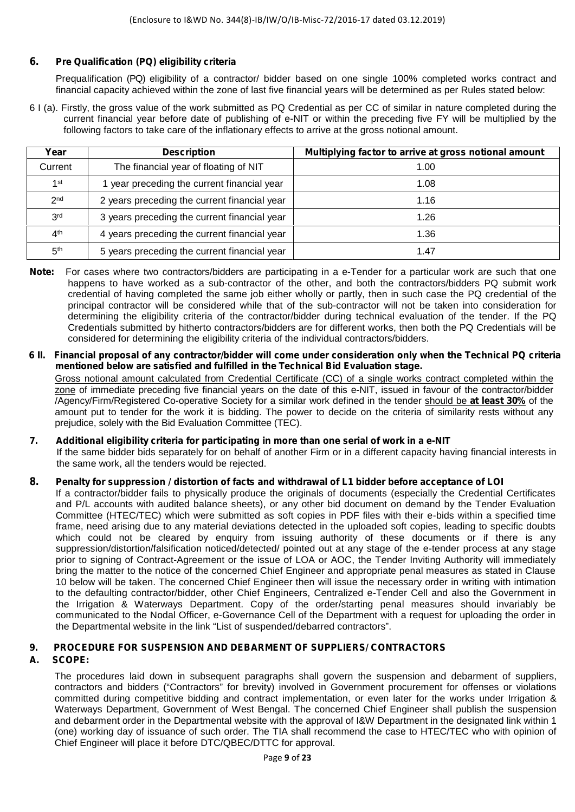## **6. Pre Qualification (PQ) eligibility criteria**

Prequalification (PQ) eligibility of a contractor/ bidder based on one single 100% completed works contract and financial capacity achieved within the zone of last five financial years will be determined as per Rules stated below:

6 I (a). Firstly, the gross value of the work submitted as PQ Credential as per CC of similar in nature completed during the current financial year before date of publishing of e-NIT or within the preceding five FY will be multiplied by the following factors to take care of the inflationary effects to arrive at the gross notional amount.

| Year            | <b>Description</b>                           | Multiplying factor to arrive at gross notional amount |
|-----------------|----------------------------------------------|-------------------------------------------------------|
| Current         | The financial year of floating of NIT        | 1.00                                                  |
| 1st             | 1 year preceding the current financial year  | 1.08                                                  |
| 2 <sub>nd</sub> | 2 years preceding the current financial year | 1.16                                                  |
| 3 <sup>rd</sup> | 3 years preceding the current financial year | 1.26                                                  |
| 4 <sup>th</sup> | 4 years preceding the current financial year | 1.36                                                  |
| 5 <sup>th</sup> | 5 years preceding the current financial year | 1.47                                                  |

- **Note:** For cases where two contractors/bidders are participating in a e-Tender for a particular work are such that one happens to have worked as a sub-contractor of the other, and both the contractors/bidders PQ submit work credential of having completed the same job either wholly or partly, then in such case the PQ credential of the principal contractor will be considered while that of the sub-contractor will not be taken into consideration for determining the eligibility criteria of the contractor/bidder during technical evaluation of the tender. If the PQ Credentials submitted by hitherto contractors/bidders are for different works, then both the PQ Credentials will be considered for determining the eligibility criteria of the individual contractors/bidders.
- *6* **II***. Financial proposal of any contractor/bidder will come under consideration only when the Technical PQ criteria mentioned below are satisfied and fulfilled in the Technical Bid Evaluation stage.*

Gross notional amount calculated from Credential Certificate (CC) of a single works contract completed within the zone of immediate preceding five financial years on the date of this e-NIT, issued in favour of the contractor/bidder /Agency/Firm/Registered Co-operative Society for a similar work defined in the tender should be **at least 30%** of the amount put to tender for the work it is bidding. The power to decide on the criteria of similarity rests without any prejudice, solely with the Bid Evaluation Committee (TEC).

## **7. Additional eligibility criteria for participating in more than one serial of work in a e-NIT**

If the same bidder bids separately for on behalf of another Firm or in a different capacity having financial interests in the same work, all the tenders would be rejected.

## **8. Penalty for suppression / distortion of facts and withdrawal of L1 bidder before acceptance of LOI**

If a contractor/bidder fails to physically produce the originals of documents (especially the Credential Certificates and P/L accounts with audited balance sheets), or any other bid document on demand by the Tender Evaluation Committee (HTEC/TEC) which were submitted as soft copies in PDF files with their e-bids within a specified time frame, need arising due to any material deviations detected in the uploaded soft copies, leading to specific doubts which could not be cleared by enquiry from issuing authority of these documents or if there is any suppression/distortion/falsification noticed/detected/ pointed out at any stage of the e-tender process at any stage prior to signing of Contract-Agreement or the issue of LOA or AOC, the Tender Inviting Authority will immediately bring the matter to the notice of the concerned Chief Engineer and appropriate penal measures as stated in Clause 10 below will be taken. The concerned Chief Engineer then will issue the necessary order in writing with intimation to the defaulting contractor/bidder, other Chief Engineers, Centralized e-Tender Cell and also the Government in the Irrigation & Waterways Department. Copy of the order/starting penal measures should invariably be communicated to the Nodal Officer, e-Governance Cell of the Department with a request for uploading the order in the Departmental website in the link "List of suspended/debarred contractors".

## *9. PROCEDURE FOR SUSPENSION AND DEBARMENT OF SUPPLIERS/ CONTRACTORS*

## **A. SCOPE:**

The procedures laid down in subsequent paragraphs shall govern the suspension and debarment of suppliers, contractors and bidders ("Contractors" for brevity) involved in Government procurement for offenses or violations committed during competitive bidding and contract implementation, or even later for the works under Irrigation & Waterways Department, Government of West Bengal. The concerned Chief Engineer shall publish the suspension and debarment order in the Departmental website with the approval of I&W Department in the designated link within 1 (one) working day of issuance of such order. The TIA shall recommend the case to HTEC/TEC who with opinion of Chief Engineer will place it before DTC/QBEC/DTTC for approval.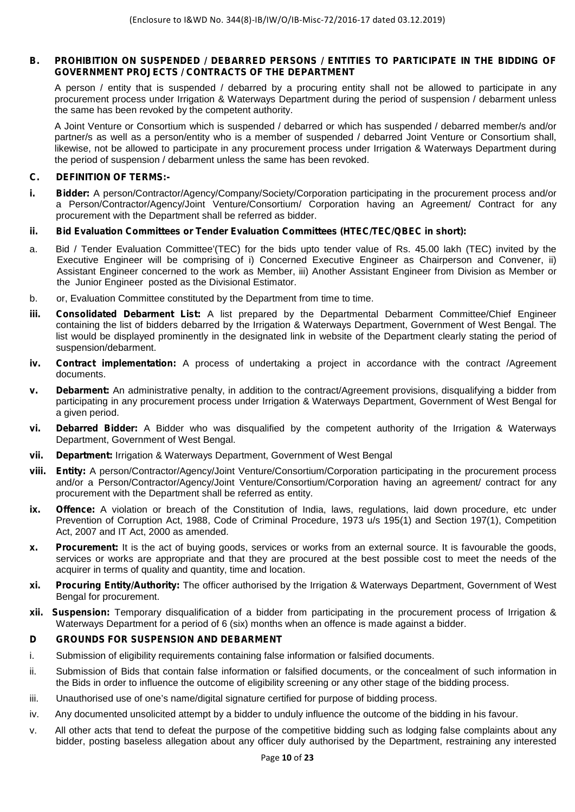## **B. PROHIBITION ON SUSPENDED / DEBARRED PERSONS / ENTITIES TO PARTICIPATE IN THE BIDDING OF GOVERNMENT PROJECTS / CONTRACTS OF THE DEPARTMENT**

A person / entity that is suspended / debarred by a procuring entity shall not be allowed to participate in any procurement process under Irrigation & Waterways Department during the period of suspension / debarment unless the same has been revoked by the competent authority.

A Joint Venture or Consortium which is suspended / debarred or which has suspended / debarred member/s and/or partner/s as well as a person/entity who is a member of suspended / debarred Joint Venture or Consortium shall, likewise, not be allowed to participate in any procurement process under Irrigation & Waterways Department during the period of suspension / debarment unless the same has been revoked.

## **C. DEFINITION OF TERMS:-**

- **i. Bidder:** A person/Contractor/Agency/Company/Society/Corporation participating in the procurement process and/or a Person/Contractor/Agency/Joint Venture/Consortium/ Corporation having an Agreement/ Contract for any procurement with the Department shall be referred as bidder.
- **ii. Bid Evaluation Committees or Tender Evaluation Committees (HTEC/TEC/QBEC in short):**
- a. Bid / Tender Evaluation Committee'(TEC) for the bids upto tender value of Rs. 45.00 lakh (TEC) invited by the Executive Engineer will be comprising of i) Concerned Executive Engineer as Chairperson and Convener, ii) Assistant Engineer concerned to the work as Member, iii) Another Assistant Engineer from Division as Member or the Junior Engineer posted as the Divisional Estimator.
- b. or, Evaluation Committee constituted by the Department from time to time.
- **iii. Consolidated Debarment List:** A list prepared by the Departmental Debarment Committee/Chief Engineer containing the list of bidders debarred by the Irrigation & Waterways Department, Government of West Bengal. The list would be displayed prominently in the designated link in website of the Department clearly stating the period of suspension/debarment.
- **iv. Contract implementation:** A process of undertaking a project in accordance with the contract /Agreement documents.
- **v. Debarment:** An administrative penalty, in addition to the contract/Agreement provisions, disqualifying a bidder from participating in any procurement process under Irrigation & Waterways Department, Government of West Bengal for a given period.
- **vi. Debarred Bidder:** A Bidder who was disqualified by the competent authority of the Irrigation & Waterways Department, Government of West Bengal.
- **vii. Department:** Irrigation & Waterways Department, Government of West Bengal
- **viii. Entity:** A person/Contractor/Agency/Joint Venture/Consortium/Corporation participating in the procurement process and/or a Person/Contractor/Agency/Joint Venture/Consortium/Corporation having an agreement/ contract for any procurement with the Department shall be referred as entity.
- **ix. Offence:** A violation or breach of the Constitution of India, laws, regulations, laid down procedure, etc under Prevention of Corruption Act, 1988, Code of Criminal Procedure, 1973 u/s 195(1) and Section 197(1), Competition Act, 2007 and IT Act, 2000 as amended.
- **x. Procurement:** It is the act of buying goods, services or works from an external source. It is favourable the goods, services or works are appropriate and that they are procured at the best possible cost to meet the needs of the acquirer in terms of quality and quantity, time and location.
- **xi. Procuring Entity/Authority:** The officer authorised by the Irrigation & Waterways Department, Government of West Bengal for procurement.
- **xii. Suspension:** Temporary disqualification of a bidder from participating in the procurement process of Irrigation & Waterways Department for a period of 6 (six) months when an offence is made against a bidder.

## **D GROUNDS FOR SUSPENSION AND DEBARMENT**

- i. Submission of eligibility requirements containing false information or falsified documents.
- ii. Submission of Bids that contain false information or falsified documents, or the concealment of such information in the Bids in order to influence the outcome of eligibility screening or any other stage of the bidding process.
- iii. Unauthorised use of one's name/digital signature certified for purpose of bidding process.
- iv. Any documented unsolicited attempt by a bidder to unduly influence the outcome of the bidding in his favour.
- v. All other acts that tend to defeat the purpose of the competitive bidding such as lodging false complaints about any bidder, posting baseless allegation about any officer duly authorised by the Department, restraining any interested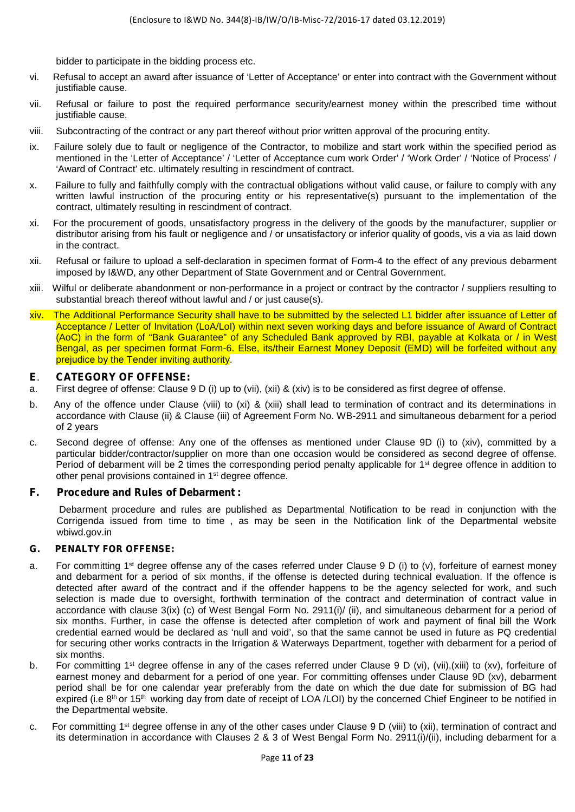bidder to participate in the bidding process etc.

- vi. Refusal to accept an award after issuance of 'Letter of Acceptance' or enter into contract with the Government without justifiable cause.
- vii. Refusal or failure to post the required performance security/earnest money within the prescribed time without justifiable cause.
- viii. Subcontracting of the contract or any part thereof without prior written approval of the procuring entity.
- ix. Failure solely due to fault or negligence of the Contractor, to mobilize and start work within the specified period as mentioned in the 'Letter of Acceptance' / 'Letter of Acceptance cum work Order' / 'Work Order' / 'Notice of Process' / 'Award of Contract' etc. ultimately resulting in rescindment of contract.
- x. Failure to fully and faithfully comply with the contractual obligations without valid cause, or failure to comply with any written lawful instruction of the procuring entity or his representative(s) pursuant to the implementation of the contract, ultimately resulting in rescindment of contract.
- xi. For the procurement of goods, unsatisfactory progress in the delivery of the goods by the manufacturer, supplier or distributor arising from his fault or negligence and / or unsatisfactory or inferior quality of goods, vis a via as laid down in the contract.
- xii. Refusal or failure to upload a self-declaration in specimen format of Form-4 to the effect of any previous debarment imposed by I&WD, any other Department of State Government and or Central Government.
- xiii. Wilful or deliberate abandonment or non-performance in a project or contract by the contractor / suppliers resulting to substantial breach thereof without lawful and / or just cause(s).
- xiv. The Additional Performance Security shall have to be submitted by the selected L1 bidder after issuance of Letter of Acceptance / Letter of Invitation (LoA/LoI) within next seven working days and before issuance of Award of Contract (AoC) in the form of "Bank Guarantee" of any Scheduled Bank approved by RBI, payable at Kolkata or / in West Bengal, as per specimen format Form-6. Else, its/their Earnest Money Deposit (EMD) will be forfeited without any prejudice by the Tender inviting authority.

## **E**. **CATEGORY OF OFFENSE:**

- a. First degree of offense: Clause 9 D (i) up to (vii), (xii) & (xiv) is to be considered as first degree of offense.
- b. Any of the offence under Clause (viii) to (xi) & (xiii) shall lead to termination of contract and its determinations in accordance with Clause (ii) & Clause (iii) of Agreement Form No. WB-2911 and simultaneous debarment for a period of 2 years
- c. Second degree of offense: Any one of the offenses as mentioned under Clause 9D (i) to (xiv), committed by a particular bidder/contractor/supplier on more than one occasion would be considered as second degree of offense. Period of debarment will be 2 times the corresponding period penalty applicable for 1<sup>st</sup> degree offence in addition to other penal provisions contained in 1st degree offence.

## **F. Procedure and Rules of Debarment :**

Debarment procedure and rules are published as Departmental Notification to be read in conjunction with the Corrigenda issued from time to time , as may be seen in the Notification link of the Departmental website wbiwd.gov.in

## **G. PENALTY FOR OFFENSE:**

- a. For committing 1<sup>st</sup> degree offense any of the cases referred under Clause 9 D (i) to (y), forfeiture of earnest money and debarment for a period of six months, if the offense is detected during technical evaluation. If the offence is detected after award of the contract and if the offender happens to be the agency selected for work, and such selection is made due to oversight, forthwith termination of the contract and determination of contract value in accordance with clause 3(ix) (c) of West Bengal Form No. 2911(i)/ (ii), and simultaneous debarment for a period of six months. Further, in case the offense is detected after completion of work and payment of final bill the Work credential earned would be declared as 'null and void', so that the same cannot be used in future as PQ credential for securing other works contracts in the Irrigation & Waterways Department, together with debarment for a period of six months.
- b. For committing 1<sup>st</sup> degree offense in any of the cases referred under Clause 9 D (vi), (vii), (xiii) to (xv), forfeiture of earnest money and debarment for a period of one year. For committing offenses under Clause 9D (xv), debarment period shall be for one calendar year preferably from the date on which the due date for submission of BG had expired (i.e 8<sup>th</sup> or 15<sup>th</sup> working day from date of receipt of LOA /LOI) by the concerned Chief Engineer to be notified in the Departmental website.
- c. For committing 1st degree offense in any of the other cases under Clause 9 D (viii) to (xii), termination of contract and its determination in accordance with Clauses 2 & 3 of West Bengal Form No. 2911(i)/(ii), including debarment for a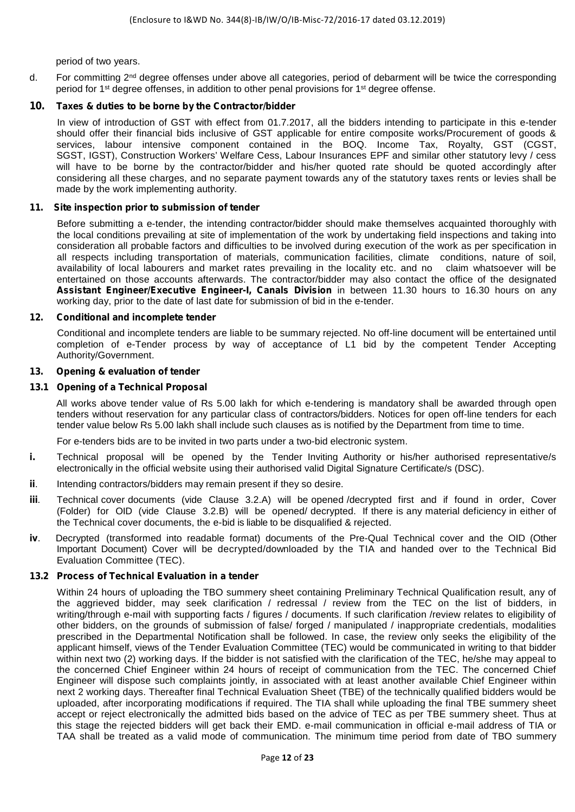period of two years.

d. For committing 2<sup>nd</sup> degree offenses under above all categories, period of debarment will be twice the corresponding period for 1st degree offenses, in addition to other penal provisions for 1st degree offense.

## **10. Taxes & duties to be borne by the Contractor/bidder**

In view of introduction of GST with effect from 01.7.2017, all the bidders intending to participate in this e-tender should offer their financial bids inclusive of GST applicable for entire composite works/Procurement of goods & services, labour intensive component contained in the BOQ. Income Tax, Royalty, GST (CGST, SGST, IGST), Construction Workers' Welfare Cess, Labour Insurances EPF and similar other statutory levy / cess will have to be borne by the contractor/bidder and his/her quoted rate should be quoted accordingly after considering all these charges, and no separate payment towards any of the statutory taxes rents or levies shall be made by the work implementing authority.

#### **11. Site inspection prior to submission of tender**

Before submitting a e-tender, the intending contractor/bidder should make themselves acquainted thoroughly with the local conditions prevailing at site of implementation of the work by undertaking field inspections and taking into consideration all probable factors and difficulties to be involved during execution of the work as per specification in all respects including transportation of materials, communication facilities, climate conditions, nature of soil, availability of local labourers and market rates prevailing in the locality etc. and no claim whatsoever will be entertained on those accounts afterwards. The contractor/bidder may also contact the office of the designated **Assistant Engineer/Executive Engineer-I, Canals Division** in between 11.30 hours to 16.30 hours on any working day, prior to the date of last date for submission of bid in the e-tender.

#### **12. Conditional and incomplete tender**

Conditional and incomplete tenders are liable to be summary rejected. No off-line document will be entertained until completion of e-Tender process by way of acceptance of L1 bid by the competent Tender Accepting Authority/Government.

#### **13. Opening & evaluation of tender**

## **13.1 Opening of a Technical Proposal**

All works above tender value of Rs 5.00 lakh for which e-tendering is mandatory shall be awarded through open tenders without reservation for any particular class of contractors/bidders. Notices for open off-line tenders for each tender value below Rs 5.00 lakh shall include such clauses as is notified by the Department from time to time.

For e-tenders bids are to be invited in two parts under a two-bid electronic system.

- **i.** Technical proposal will be opened by the Tender Inviting Authority or his/her authorised representative/s electronically in the official website using their authorised valid Digital Signature Certificate/s (DSC).
- **ii**. Intending contractors/bidders may remain present if they so desire.
- **iii**. Technical cover documents (vide Clause 3.2.A) will be opened /decrypted first and if found in order, Cover (Folder) for OID (vide Clause 3.2.B) will be opened/ decrypted. If there is any material deficiency in either of the Technical cover documents, the e-bid is liable to be disqualified & rejected.
- **iv**. Decrypted (transformed into readable format) documents of the Pre-Qual Technical cover and the OID (Other Important Document) Cover will be decrypted/downloaded by the TIA and handed over to the Technical Bid Evaluation Committee (TEC).

## **13.2 Process of Technical Evaluation in a tender**

Within 24 hours of uploading the TBO summery sheet containing Preliminary Technical Qualification result, any of the aggrieved bidder, may seek clarification / redressal / review from the TEC on the list of bidders, in writing/through e-mail with supporting facts / figures / documents. If such clarification /review relates to eligibility of other bidders, on the grounds of submission of false/ forged / manipulated / inappropriate credentials, modalities prescribed in the Departmental Notification shall be followed. In case, the review only seeks the eligibility of the applicant himself, views of the Tender Evaluation Committee (TEC) would be communicated in writing to that bidder within next two (2) working days. If the bidder is not satisfied with the clarification of the TEC, he/she may appeal to the concerned Chief Engineer within 24 hours of receipt of communication from the TEC. The concerned Chief Engineer will dispose such complaints jointly, in associated with at least another available Chief Engineer within next 2 working days. Thereafter final Technical Evaluation Sheet (TBE) of the technically qualified bidders would be uploaded, after incorporating modifications if required. The TIA shall while uploading the final TBE summery sheet accept or reject electronically the admitted bids based on the advice of TEC as per TBE summery sheet. Thus at this stage the rejected bidders will get back their EMD. e-mail communication in official e-mail address of TIA or TAA shall be treated as a valid mode of communication. The minimum time period from date of TBO summery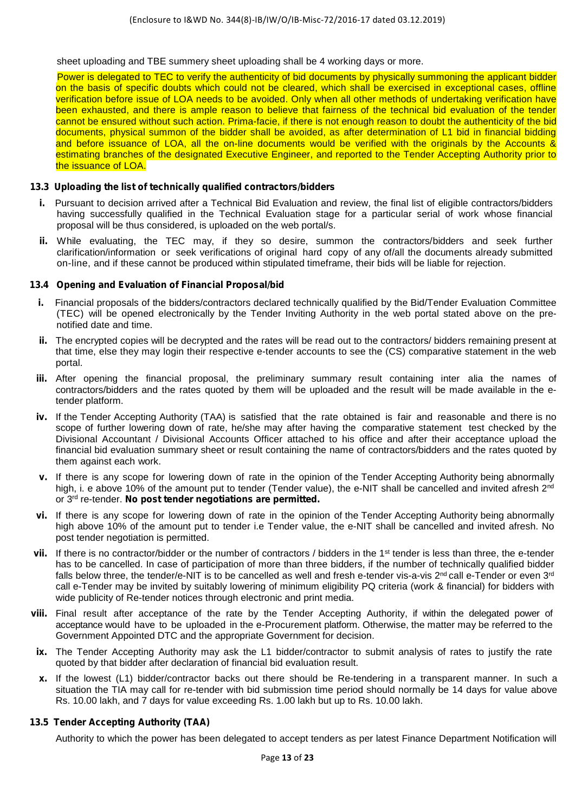sheet uploading and TBE summery sheet uploading shall be 4 working days or more.

Power is delegated to TEC to verify the authenticity of bid documents by physically summoning the applicant bidder on the basis of specific doubts which could not be cleared, which shall be exercised in exceptional cases, offline verification before issue of LOA needs to be avoided. Only when all other methods of undertaking verification have been exhausted, and there is ample reason to believe that fairness of the technical bid evaluation of the tender cannot be ensured without such action. Prima-facie, if there is not enough reason to doubt the authenticity of the bid documents, physical summon of the bidder shall be avoided, as after determination of L1 bid in financial bidding and before issuance of LOA, all the on-line documents would be verified with the originals by the Accounts & estimating branches of the designated Executive Engineer, and reported to the Tender Accepting Authority prior to the issuance of LOA.

## **13.3 Uploading the list of technically qualified contractors/bidders**

- **i.** Pursuant to decision arrived after a Technical Bid Evaluation and review, the final list of eligible contractors/bidders having successfully qualified in the Technical Evaluation stage for a particular serial of work whose financial proposal will be thus considered, is uploaded on the web portal/s.
- **ii.** While evaluating, the TEC may, if they so desire, summon the contractors/bidders and seek further clarification/information or seek verifications of original hard copy of any of/all the documents already submitted on-line, and if these cannot be produced within stipulated timeframe, their bids will be liable for rejection.

## **13.4 Opening and Evaluation of Financial Proposal/bid**

- **i.** Financial proposals of the bidders/contractors declared technically qualified by the Bid/Tender Evaluation Committee (TEC) will be opened electronically by the Tender Inviting Authority in the web portal stated above on the pre notified date and time.
- **ii.** The encrypted copies will be decrypted and the rates will be read out to the contractors/ bidders remaining present at that time, else they may login their respective e-tender accounts to see the (CS) comparative statement in the web portal.
- **iii.** After opening the financial proposal, the preliminary summary result containing inter alia the names of contractors/bidders and the rates quoted by them will be uploaded and the result will be made available in the etender platform.
- **iv.** If the Tender Accepting Authority (TAA) is satisfied that the rate obtained is fair and reasonable and there is no scope of further lowering down of rate, he/she may after having the comparative statement test checked by the Divisional Accountant / Divisional Accounts Officer attached to his office and after their acceptance upload the financial bid evaluation summary sheet or result containing the name of contractors/bidders and the rates quoted by them against each work.
- **v.** If there is any scope for lowering down of rate in the opinion of the Tender Accepting Authority being abnormally high, i. e above 10% of the amount put to tender (Tender value), the e-NIT shall be cancelled and invited afresh 2<sup>nd</sup> or 3rd re-tender. **No post tender negotiations are permitted.**
- **vi.** If there is any scope for lowering down of rate in the opinion of the Tender Accepting Authority being abnormally high above 10% of the amount put to tender i.e Tender value, the e-NIT shall be cancelled and invited afresh. No post tender negotiation is permitted.
- vii. If there is no contractor/bidder or the number of contractors / bidders in the 1<sup>st</sup> tender is less than three, the e-tender has to be cancelled. In case of participation of more than three bidders, if the number of technically qualified bidder falls below three, the tender/e-NIT is to be cancelled as well and fresh e-tender vis-a-vis  $2^{nd}$  call e-Tender or even  $3^{rd}$ call e-Tender may be invited by suitably lowering of minimum eligibility PQ criteria (work & financial) for bidders with wide publicity of Re-tender notices through electronic and print media.
- **viii.** Final result after acceptance of the rate by the Tender Accepting Authority, if within the delegated power of acceptance would have to be uploaded in the e-Procurement platform. Otherwise, the matter may be referred to the Government Appointed DTC and the appropriate Government for decision.
- **ix.** The Tender Accepting Authority may ask the L1 bidder/contractor to submit analysis of rates to justify the rate quoted by that bidder after declaration of financial bid evaluation result.
- **x.** If the lowest (L1) bidder/contractor backs out there should be Re-tendering in a transparent manner. In such a situation the TIA may call for re-tender with bid submission time period should normally be 14 days for value above Rs. 10.00 lakh, and 7 days for value exceeding Rs. 1.00 lakh but up to Rs. 10.00 lakh.

#### **13.5 Tender Accepting Authority (TAA)**

Authority to which the power has been delegated to accept tenders as per latest Finance Department Notification will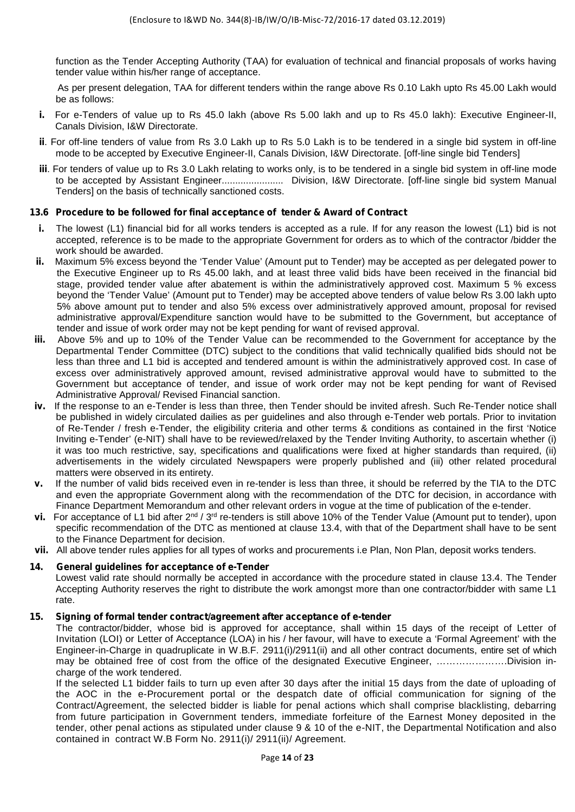function as the Tender Accepting Authority (TAA) for evaluation of technical and financial proposals of works having tender value within his/her range of acceptance.

As per present delegation, TAA for different tenders within the range above Rs 0.10 Lakh upto Rs 45.00 Lakh would be as follows:

- **i.** For e-Tenders of value up to Rs 45.0 lakh (above Rs 5.00 lakh and up to Rs 45.0 lakh): Executive Engineer-II, Canals Division, I&W Directorate.
- **ii**. For off-line tenders of value from Rs 3.0 Lakh up to Rs 5.0 Lakh is to be tendered in a single bid system in off-line mode to be accepted by Executive Engineer-II, Canals Division, I&W Directorate. [off-line single bid Tenders]
- **iii**. For tenders of value up to Rs 3.0 Lakh relating to works only, is to be tendered in a single bid system in off-line mode to be accepted by Assistant Engineer....................... Division, I&W Directorate. [off-line single bid system Manual Tenders] on the basis of technically sanctioned costs.

## **13.6 Procedure to be followed for final acceptance of tender & Award of Contract**

- **i.** The lowest (L1) financial bid for all works tenders is accepted as a rule. If for any reason the lowest (L1) bid is not accepted, reference is to be made to the appropriate Government for orders as to which of the contractor /bidder the work should be awarded.
- **ii.** Maximum 5% excess beyond the 'Tender Value' (Amount put to Tender) may be accepted as per delegated power to the Executive Engineer up to Rs 45.00 lakh, and at least three valid bids have been received in the financial bid stage, provided tender value after abatement is within the administratively approved cost. Maximum 5 % excess beyond the 'Tender Value' (Amount put to Tender) may be accepted above tenders of value below Rs 3.00 lakh upto 5% above amount put to tender and also 5% excess over administratively approved amount, proposal for revised administrative approval/Expenditure sanction would have to be submitted to the Government, but acceptance of tender and issue of work order may not be kept pending for want of revised approval.
- **iii.** Above 5% and up to 10% of the Tender Value can be recommended to the Government for acceptance by the Departmental Tender Committee (DTC) subject to the conditions that valid technically qualified bids should not be less than three and L1 bid is accepted and tendered amount is within the administratively approved cost. In case of excess over administratively approved amount, revised administrative approval would have to submitted to the Government but acceptance of tender, and issue of work order may not be kept pending for want of Revised Administrative Approval/ Revised Financial sanction.
- **iv.** If the response to an e-Tender is less than three, then Tender should be invited afresh. Such Re-Tender notice shall be published in widely circulated dailies as per guidelines and also through e-Tender web portals. Prior to invitation of Re-Tender / fresh e-Tender, the eligibility criteria and other terms & conditions as contained in the first 'Notice Inviting e-Tender' (e-NIT) shall have to be reviewed/relaxed by the Tender Inviting Authority, to ascertain whether (i) it was too much restrictive, say, specifications and qualifications were fixed at higher standards than required, (ii) advertisements in the widely circulated Newspapers were properly published and (iii) other related procedural matters were observed in its entirety.
- **v.** If the number of valid bids received even in re-tender is less than three, it should be referred by the TIA to the DTC and even the appropriate Government along with the recommendation of the DTC for decision, in accordance with Finance Department Memorandum and other relevant orders in vogue at the time of publication of the e-tender.
- **vi.** For acceptance of L1 bid after 2<sup>nd</sup> / 3<sup>rd</sup> re-tenders is still above 10% of the Tender Value (Amount put to tender), upon specific recommendation of the DTC as mentioned at clause 13.4, with that of the Department shall have to be sent to the Finance Department for decision.
- **vii.** All above tender rules applies for all types of works and procurements i.e Plan, Non Plan, deposit works tenders.

## **14. General guidelines for acceptance of e-Tender**

Lowest valid rate should normally be accepted in accordance with the procedure stated in clause 13.4. The Tender Accepting Authority reserves the right to distribute the work amongst more than one contractor/bidder with same L1 rate.

#### **15. Signing of formal tender contract/agreement after acceptance of e-tender**

The contractor/bidder, whose bid is approved for acceptance, shall within 15 days of the receipt of Letter of Invitation (LOI) or Letter of Acceptance (LOA) in his / her favour, will have to execute a 'Formal Agreement' with the Engineer-in-Charge in quadruplicate in W.B.F. 2911(i)/2911(ii) and all other contract documents, entire set of which may be obtained free of cost from the office of the designated Executive Engineer, ………………….Division in charge of the work tendered.

If the selected L1 bidder fails to turn up even after 30 days after the initial 15 days from the date of uploading of the AOC in the e-Procurement portal or the despatch date of official communication for signing of the Contract/Agreement, the selected bidder is liable for penal actions which shall comprise blacklisting, debarring from future participation in Government tenders, immediate forfeiture of the Earnest Money deposited in the tender, other penal actions as stipulated under clause 9 & 10 of the e-NIT, the Departmental Notification and also contained in contract W.B Form No. 2911(i)/ 2911(ii)/ Agreement.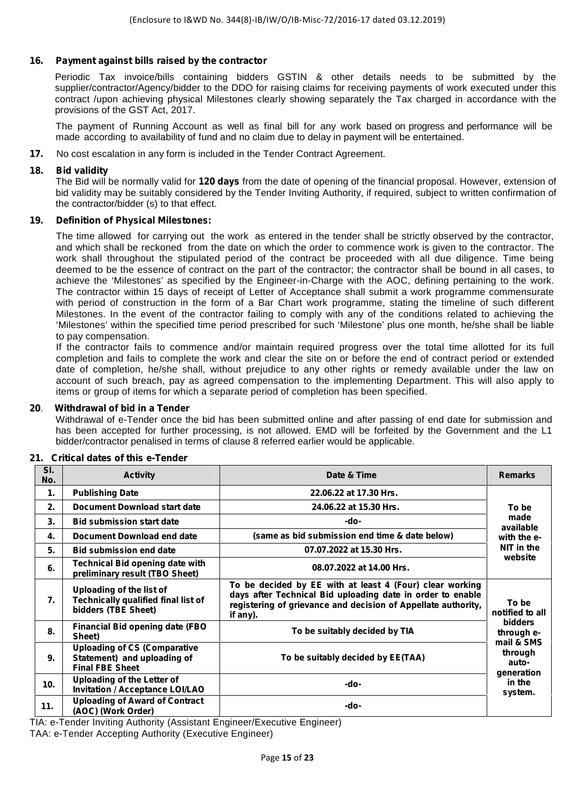## **16. Payment against bills raised by the contractor**

Periodic Tax invoice/bills containing bidders GSTIN & other details needs to be submitted by the supplier/contractor/Agency/bidder to the DDO for raising claims for receiving payments of work executed under this contract /upon achieving physical Milestones clearly showing separately the Tax charged in accordance with the provisions of the GST Act, 2017.

The payment of Running Account as well as final bill for any work based on progress and performance will be made according to availability of fund and no claim due to delay in payment will be entertained.

**17.** No cost escalation in any form is included in the Tender Contract Agreement.

## **18. Bid validity**

The Bid will be normally valid for **120 days** from the date of opening of the financial proposal. However, extension of bid validity may be suitably considered by the Tender Inviting Authority, if required, subject to written confirmation of the contractor/bidder (s) to that effect.

#### **19. Definition of Physical Milestones:**

The time allowed for carrying out the work as entered in the tender shall be strictly observed by the contractor, and which shall be reckoned from the date on which the order to commence work is given to the contractor. The work shall throughout the stipulated period of the contract be proceeded with all due diligence. Time being deemed to be the essence of contract on the part of the contractor; the contractor shall be bound in all cases, to achieve the 'Milestones' as specified by the Engineer-in-Charge with the AOC, defining pertaining to the work. The contractor within 15 days of receipt of Letter of Acceptance shall submit a work programme commensurate with period of construction in the form of a Bar Chart work programme, stating the timeline of such different Milestones. In the event of the contractor failing to comply with any of the conditions related to achieving the 'Milestones' within the specified time period prescribed for such 'Milestone' plus one month, he/she shall be liable to pay compensation.

If the contractor fails to commence and/or maintain required progress over the total time allotted for its full completion and fails to complete the work and clear the site on or before the end of contract period or extended date of completion, he/she shall, without prejudice to any other rights or remedy available under the law on account of such breach, pay as agreed compensation to the implementing Department. This will also apply to items or group of items for which a separate period of completion has been specified.

#### **20**. **Withdrawal of bid in a Tender**

Withdrawal of e-Tender once the bid has been submitted online and after passing of end date for submission and has been accepted for further processing, is not allowed. EMD will be forfeited by the Government and the L1 bidder/contractor penalised in terms of clause 8 referred earlier would be applicable.

| SI.<br>No.       | <b>Activity</b>                                                                              | Date & Time                                                                                                                                                                                         | <b>Remarks</b>                               |
|------------------|----------------------------------------------------------------------------------------------|-----------------------------------------------------------------------------------------------------------------------------------------------------------------------------------------------------|----------------------------------------------|
| $\mathbf{1}$ .   | <b>Publishing Date</b>                                                                       | 22.06.22 at 17.30 Hrs.                                                                                                                                                                              |                                              |
| 2.               | <b>Document Download start date</b>                                                          | 24.06.22 at 15.30 Hrs.                                                                                                                                                                              | To be                                        |
| 3.               | <b>Bid submission start date</b>                                                             | -do-                                                                                                                                                                                                | made<br>available                            |
| 4.               | Document Download end date                                                                   | (same as bid submission end time & date below)                                                                                                                                                      | with the e-                                  |
| 5.               | <b>Bid submission end date</b>                                                               | 07.07.2022 at 15.30 Hrs.                                                                                                                                                                            | NIT in the                                   |
| 6.               | <b>Technical Bid opening date with</b><br>preliminary result (TBO Sheet)                     | 08.07.2022 at 14.00 Hrs.                                                                                                                                                                            | website                                      |
| $\overline{7}$ . | Uploading of the list of<br>Technically qualified final list of<br>bidders (TBE Sheet)       | To be decided by EE with at least 4 (Four) clear working<br>days after Technical Bid uploading date in order to enable<br>registering of grievance and decision of Appellate authority,<br>if any). | To be<br>notified to all                     |
| 8.               | <b>Financial Bid opening date (FBO</b><br>Sheet)                                             | To be suitably decided by TIA                                                                                                                                                                       | <b>bidders</b><br>through e-                 |
| 9.               | <b>Uploading of CS (Comparative</b><br>Statement) and uploading of<br><b>Final FBE Sheet</b> | To be suitably decided by EE(TAA)                                                                                                                                                                   | mail & SMS<br>through<br>auto-<br>generation |
| 10.              | <b>Uploading of the Letter of</b><br><b>Invitation / Acceptance LOI/LAO</b>                  | -do-                                                                                                                                                                                                |                                              |
| 11.              | <b>Uploading of Award of Contract</b><br>(AOC) (Work Order)                                  | -do-                                                                                                                                                                                                | system.                                      |

#### **21. Critical dates of this e-Tender**

TIA: e-Tender Inviting Authority (Assistant Engineer/Executive Engineer)

TAA: e-Tender Accepting Authority (Executive Engineer)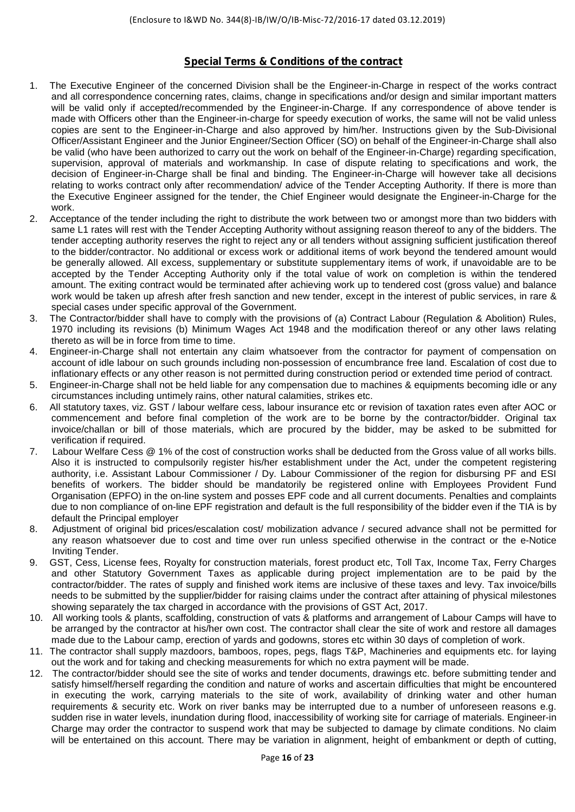## **Special Terms & Conditions of the contract**

- 1. The Executive Engineer of the concerned Division shall be the Engineer-in-Charge in respect of the works contract and all correspondence concerning rates, claims, change in specifications and/or design and similar important matters will be valid only if accepted/recommended by the Engineer-in-Charge. If any correspondence of above tender is made with Officers other than the Engineer-in-charge for speedy execution of works, the same will not be valid unless copies are sent to the Engineer-in-Charge and also approved by him/her. Instructions given by the Sub-Divisional Officer/Assistant Engineer and the Junior Engineer/Section Officer (SO) on behalf of the Engineer-in-Charge shall also be valid (who have been authorized to carry out the work on behalf of the Engineer-in-Charge) regarding specification, supervision, approval of materials and workmanship. In case of dispute relating to specifications and work, the decision of Engineer-in-Charge shall be final and binding. The Engineer-in-Charge will however take all decisions relating to works contract only after recommendation/ advice of the Tender Accepting Authority. If there is more than the Executive Engineer assigned for the tender, the Chief Engineer would designate the Engineer-in-Charge for the work.
- 2. Acceptance of the tender including the right to distribute the work between two or amongst more than two bidders with same L1 rates will rest with the Tender Accepting Authority without assigning reason thereof to any of the bidders. The tender accepting authority reserves the right to reject any or all tenders without assigning sufficient justification thereof to the bidder/contractor. No additional or excess work or additional items of work beyond the tendered amount would be generally allowed. All excess, supplementary or substitute supplementary items of work, if unavoidable are to be accepted by the Tender Accepting Authority only if the total value of work on completion is within the tendered amount. The exiting contract would be terminated after achieving work up to tendered cost (gross value) and balance work would be taken up afresh after fresh sanction and new tender, except in the interest of public services, in rare & special cases under specific approval of the Government.
- 3. The Contractor/bidder shall have to comply with the provisions of (a) Contract Labour (Regulation & Abolition) Rules, 1970 including its revisions (b) Minimum Wages Act 1948 and the modification thereof or any other laws relating thereto as will be in force from time to time.
- 4. Engineer-in-Charge shall not entertain any claim whatsoever from the contractor for payment of compensation on account of idle labour on such grounds including non-possession of encumbrance free land. Escalation of cost due to inflationary effects or any other reason is not permitted during construction period or extended time period of contract.
- 5. Engineer-in-Charge shall not be held liable for any compensation due to machines & equipments becoming idle or any circumstances including untimely rains, other natural calamities, strikes etc.
- 6. All statutory taxes, viz. GST / labour welfare cess, labour insurance etc or revision of taxation rates even after AOC or commencement and before final completion of the work are to be borne by the contractor/bidder. Original tax invoice/challan or bill of those materials, which are procured by the bidder, may be asked to be submitted for verification if required.
- 7. Labour Welfare Cess @ 1% of the cost of construction works shall be deducted from the Gross value of all works bills. Also it is instructed to compulsorily register his/her establishment under the Act, under the competent registering authority, i.e. Assistant Labour Commissioner / Dy. Labour Commissioner of the region for disbursing PF and ESI benefits of workers. The bidder should be mandatorily be registered online with Employees Provident Fund Organisation (EPFO) in the on-line system and posses EPF code and all current documents. Penalties and complaints due to non compliance of on-line EPF registration and default is the full responsibility of the bidder even if the TIA is by default the Principal employer
- 8. Adjustment of original bid prices/escalation cost/ mobilization advance / secured advance shall not be permitted for any reason whatsoever due to cost and time over run unless specified otherwise in the contract or the e-Notice Inviting Tender.
- 9. GST, Cess, License fees, Royalty for construction materials, forest product etc, Toll Tax, Income Tax, Ferry Charges and other Statutory Government Taxes as applicable during project implementation are to be paid by the contractor/bidder. The rates of supply and finished work items are inclusive of these taxes and levy. Tax invoice/bills needs to be submitted by the supplier/bidder for raising claims under the contract after attaining of physical milestones showing separately the tax charged in accordance with the provisions of GST Act, 2017.
- 10. All working tools & plants, scaffolding, construction of vats & platforms and arrangement of Labour Camps will have to be arranged by the contractor at his/her own cost. The contractor shall clear the site of work and restore all damages made due to the Labour camp, erection of yards and godowns, stores etc within 30 days of completion of work.
- 11. The contractor shall supply mazdoors, bamboos, ropes, pegs, flags T&P, Machineries and equipments etc. for laying out the work and for taking and checking measurements for which no extra payment will be made.
- 12. The contractor/bidder should see the site of works and tender documents, drawings etc. before submitting tender and satisfy himself/herself regarding the condition and nature of works and ascertain difficulties that might be encountered in executing the work, carrying materials to the site of work, availability of drinking water and other human requirements & security etc. Work on river banks may be interrupted due to a number of unforeseen reasons e.g. sudden rise in water levels, inundation during flood, inaccessibility of working site for carriage of materials. Engineer-in Charge may order the contractor to suspend work that may be subjected to damage by climate conditions. No claim will be entertained on this account. There may be variation in alignment, height of embankment or depth of cutting,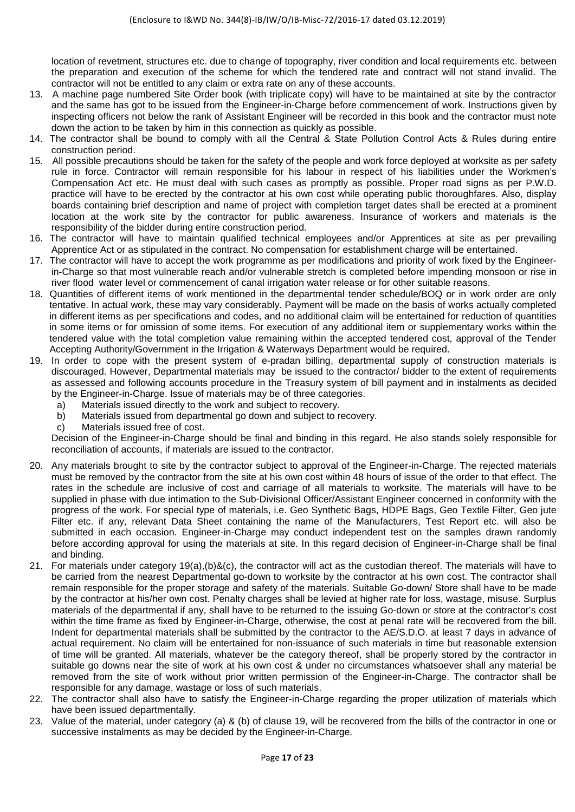location of revetment, structures etc. due to change of topography, river condition and local requirements etc. between the preparation and execution of the scheme for which the tendered rate and contract will not stand invalid. The contractor will not be entitled to any claim or extra rate on any of these accounts.

- 13. A machine page numbered Site Order book (with triplicate copy) will have to be maintained at site by the contractor and the same has got to be issued from the Engineer-in-Charge before commencement of work. Instructions given by inspecting officers not below the rank of Assistant Engineer will be recorded in this book and the contractor must note down the action to be taken by him in this connection as quickly as possible.
- 14. The contractor shall be bound to comply with all the Central & State Pollution Control Acts & Rules during entire construction period.
- 15. All possible precautions should be taken for the safety of the people and work force deployed at worksite as per safety rule in force. Contractor will remain responsible for his labour in respect of his liabilities under the Workmen's Compensation Act etc. He must deal with such cases as promptly as possible. Proper road signs as per P.W.D. practice will have to be erected by the contractor at his own cost while operating public thoroughfares. Also, display boards containing brief description and name of project with completion target dates shall be erected at a prominent location at the work site by the contractor for public awareness. Insurance of workers and materials is the responsibility of the bidder during entire construction period.
- 16. The contractor will have to maintain qualified technical employees and/or Apprentices at site as per prevailing Apprentice Act or as stipulated in the contract. No compensation for establishment charge will be entertained.
- 17. The contractor will have to accept the work programme as per modifications and priority of work fixed by the Engineerin-Charge so that most vulnerable reach and/or vulnerable stretch is completed before impending monsoon or rise in river flood water level or commencement of canal irrigation water release or for other suitable reasons.
- 18. Quantities of different items of work mentioned in the departmental tender schedule/BOQ or in work order are only tentative. In actual work, these may vary considerably. Payment will be made on the basis of works actually completed in different items as per specifications and codes, and no additional claim will be entertained for reduction of quantities in some items or for omission of some items. For execution of any additional item or supplementary works within the tendered value with the total completion value remaining within the accepted tendered cost, approval of the Tender Accepting Authority/Government in the Irrigation & Waterways Department would be required.
- 19. In order to cope with the present system of e-pradan billing, departmental supply of construction materials is discouraged. However, Departmental materials may be issued to the contractor/ bidder to the extent of requirements as assessed and following accounts procedure in the Treasury system of bill payment and in instalments as decided by the Engineer-in-Charge. Issue of materials may be of three categories.
	-
	- a) Materials issued directly to the work and subject to recovery. Materials issued from departmental go down and subject to recovery.
	- c) Materials issued free of cost.

Decision of the Engineer-in-Charge should be final and binding in this regard. He also stands solely responsible for reconciliation of accounts, if materials are issued to the contractor.

- 20. Any materials brought to site by the contractor subject to approval of the Engineer-in-Charge. The rejected materials must be removed by the contractor from the site at his own cost within 48 hours of issue of the order to that effect. The rates in the schedule are inclusive of cost and carriage of all materials to worksite. The materials will have to be supplied in phase with due intimation to the Sub-Divisional Officer/Assistant Engineer concerned in conformity with the progress of the work. For special type of materials, i.e. Geo Synthetic Bags, HDPE Bags, Geo Textile Filter, Geo jute Filter etc. if any, relevant Data Sheet containing the name of the Manufacturers, Test Report etc. will also be submitted in each occasion. Engineer-in-Charge may conduct independent test on the samples drawn randomly before according approval for using the materials at site. In this regard decision of Engineer-in-Charge shall be final and binding.
- 21. For materials under category 19(a),(b)&(c), the contractor will act as the custodian thereof. The materials will have to be carried from the nearest Departmental go-down to worksite by the contractor at his own cost. The contractor shall remain responsible for the proper storage and safety of the materials. Suitable Go-down/ Store shall have to be made by the contractor at his/her own cost. Penalty charges shall be levied at higher rate for loss, wastage, misuse. Surplus materials of the departmental if any, shall have to be returned to the issuing Go-down or store at the contractor's cost within the time frame as fixed by Engineer-in-Charge, otherwise, the cost at penal rate will be recovered from the bill. Indent for departmental materials shall be submitted by the contractor to the AE/S.D.O. at least 7 days in advance of actual requirement. No claim will be entertained for non-issuance of such materials in time but reasonable extension of time will be granted. All materials, whatever be the category thereof, shall be properly stored by the contractor in suitable go downs near the site of work at his own cost & under no circumstances whatsoever shall any material be removed from the site of work without prior written permission of the Engineer-in-Charge. The contractor shall be responsible for any damage, wastage or loss of such materials.
- 22. The contractor shall also have to satisfy the Engineer-in-Charge regarding the proper utilization of materials which have been issued departmentally.
- 23. Value of the material, under category (a) & (b) of clause 19, will be recovered from the bills of the contractor in one or successive instalments as may be decided by the Engineer-in-Charge.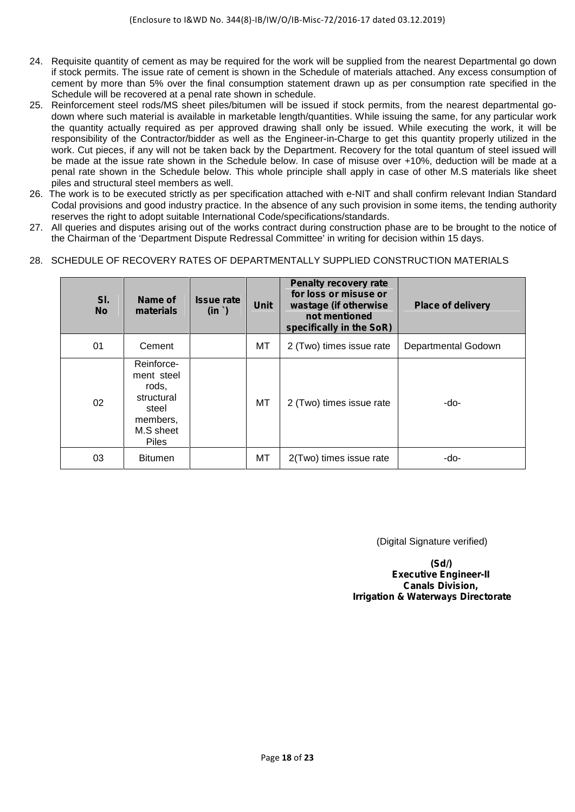- 24. Requisite quantity of cement as may be required for the work will be supplied from the nearest Departmental go down if stock permits. The issue rate of cement is shown in the Schedule of materials attached. Any excess consumption of cement by more than 5% over the final consumption statement drawn up as per consumption rate specified in the Schedule will be recovered at a penal rate shown in schedule.
- 25. Reinforcement steel rods/MS sheet piles/bitumen will be issued if stock permits, from the nearest departmental go down where such material is available in marketable length/quantities. While issuing the same, for any particular work the quantity actually required as per approved drawing shall only be issued. While executing the work, it will be responsibility of the Contractor/bidder as well as the Engineer-in-Charge to get this quantity properly utilized in the work. Cut pieces, if any will not be taken back by the Department. Recovery for the total quantum of steel issued will be made at the issue rate shown in the Schedule below. In case of misuse over +10%, deduction will be made at a penal rate shown in the Schedule below. This whole principle shall apply in case of other M.S materials like sheet piles and structural steel members as well.
- 26. The work is to be executed strictly as per specification attached with e-NIT and shall confirm relevant Indian Standard Codal provisions and good industry practice. In the absence of any such provision in some items, the tending authority reserves the right to adopt suitable International Code/specifications/standards.
- 27. All queries and disputes arising out of the works contract during construction phase are to be brought to the notice of the Chairman of the 'Department Dispute Redressal Committee' in writing for decision within 15 days.

## 28. SCHEDULE OF RECOVERY RATES OF DEPARTMENTALLY SUPPLIED CONSTRUCTION MATERIALS

| SI.<br><b>No</b> | Name of<br>materials                                                                              | <b>Issue rate</b><br>(in ') | Unit | Penalty recovery rate<br>for loss or misuse or<br>wastage (if otherwise<br>not mentioned<br>specifically in the SoR) | <b>Place of delivery</b> |
|------------------|---------------------------------------------------------------------------------------------------|-----------------------------|------|----------------------------------------------------------------------------------------------------------------------|--------------------------|
| 01               | Cement                                                                                            |                             | МT   | 2 (Two) times issue rate                                                                                             | Departmental Godown      |
| 02               | Reinforce-<br>ment steel<br>rods,<br>structural<br>steel<br>members,<br>M.S sheet<br><b>Piles</b> |                             | MT   | 2 (Two) times issue rate                                                                                             | -do-                     |
| 03               | <b>Bitumen</b>                                                                                    |                             | MT   | 2(Two) times issue rate                                                                                              | -do-                     |

(Digital Signature verified)

**(Sd/) Executive Engineer-II Canals Division, Irrigation & Waterways Directorate**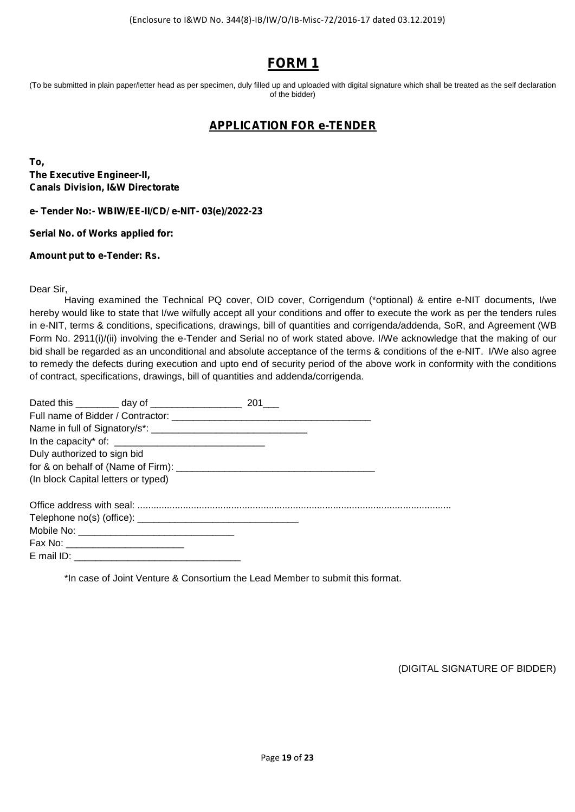# **FORM 1**

(To be submitted in plain paper/letter head as per specimen, duly filled up and uploaded with digital signature which shall be treated as the self declaration of the bidder)

## **APPLICATION FOR e-TENDER**

**To, The Executive Engineer-II, Canals Division, I&W Directorate**

**e- Tender No:- WBIW/EE-II/CD/ e-NIT- 03(e)/2022-23**

**Serial No. of Works applied for:**

**Amount put to e-Tender: Rs.**

Dear Sir,

Having examined the Technical PQ cover, OID cover, Corrigendum (\*optional) & entire e-NIT documents, I/we hereby would like to state that I/we wilfully accept all your conditions and offer to execute the work as per the tenders rules in e-NIT, terms & conditions, specifications, drawings, bill of quantities and corrigenda/addenda, SoR, and Agreement (WB Form No. 2911(i)/(ii) involving the e-Tender and Serial no of work stated above. I/We acknowledge that the making of our bid shall be regarded as an unconditional and absolute acceptance of the terms & conditions of the e-NIT. I/We also agree to remedy the defects during execution and upto end of security period of the above work in conformity with the conditions of contract, specifications, drawings, bill of quantities and addenda/corrigenda.

| Duly authorized to sign bid |                                     |  |
|-----------------------------|-------------------------------------|--|
|                             |                                     |  |
|                             | (In block Capital letters or typed) |  |
|                             |                                     |  |
|                             |                                     |  |
|                             |                                     |  |
|                             |                                     |  |
|                             |                                     |  |

\*In case of Joint Venture & Consortium the Lead Member to submit this format.

(DIGITAL SIGNATURE OF BIDDER)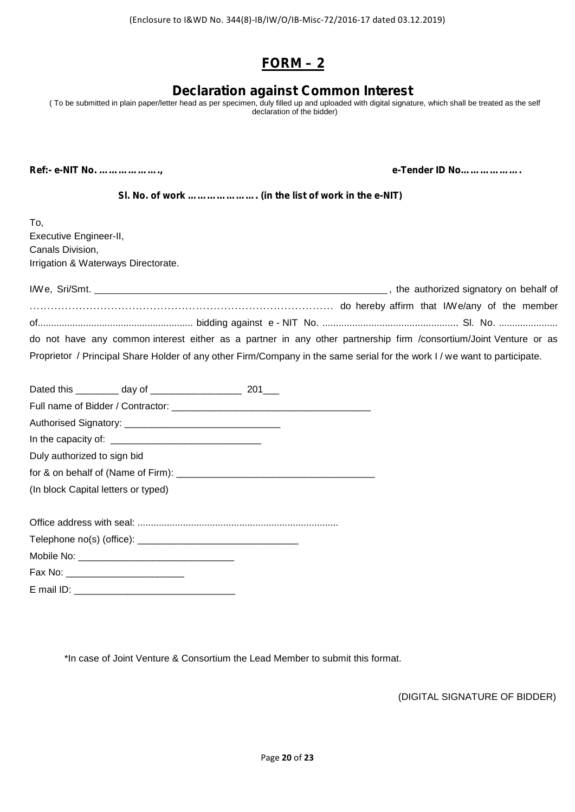# **FORM – 2**

# **Declaration against Common Interest**

( To be submitted in plain paper/letter head as per specimen, duly filled up and uploaded with digital signature, which shall be treated as the self declaration of the bidder)

**Ref:- e-NIT No. ………………., e-Tender ID No……………….**

**Sl. No. of work …………………. (in the list of work in the e-NIT)**

| To.                                 |                                                                                                                  |                                                                                                                           |
|-------------------------------------|------------------------------------------------------------------------------------------------------------------|---------------------------------------------------------------------------------------------------------------------------|
| Executive Engineer-II,              |                                                                                                                  |                                                                                                                           |
| Canals Division,                    |                                                                                                                  |                                                                                                                           |
| Irrigation & Waterways Directorate. |                                                                                                                  |                                                                                                                           |
|                                     |                                                                                                                  |                                                                                                                           |
|                                     |                                                                                                                  |                                                                                                                           |
|                                     |                                                                                                                  |                                                                                                                           |
|                                     |                                                                                                                  | do not have any common interest either as a partner in any other partnership firm /consortium/Joint Venture or as         |
|                                     |                                                                                                                  | Proprietor / Principal Share Holder of any other Firm/Company in the same serial for the work I / we want to participate. |
|                                     |                                                                                                                  |                                                                                                                           |
|                                     |                                                                                                                  |                                                                                                                           |
|                                     | Full name of Bidder / Contractor: Campbell and Contractor Contractor Contractor Contractor Contractor Contractor |                                                                                                                           |
|                                     |                                                                                                                  |                                                                                                                           |
|                                     |                                                                                                                  |                                                                                                                           |
| Duly authorized to sign bid         |                                                                                                                  |                                                                                                                           |
|                                     |                                                                                                                  |                                                                                                                           |
| (In block Capital letters or typed) |                                                                                                                  |                                                                                                                           |
|                                     |                                                                                                                  |                                                                                                                           |
|                                     |                                                                                                                  |                                                                                                                           |
|                                     |                                                                                                                  |                                                                                                                           |
|                                     |                                                                                                                  |                                                                                                                           |
|                                     |                                                                                                                  |                                                                                                                           |

E mail ID: \_\_\_\_\_\_\_\_\_\_\_\_\_\_\_\_\_\_\_\_\_\_\_\_\_\_\_\_\_\_

\*In case of Joint Venture & Consortium the Lead Member to submit this format.

(DIGITAL SIGNATURE OF BIDDER)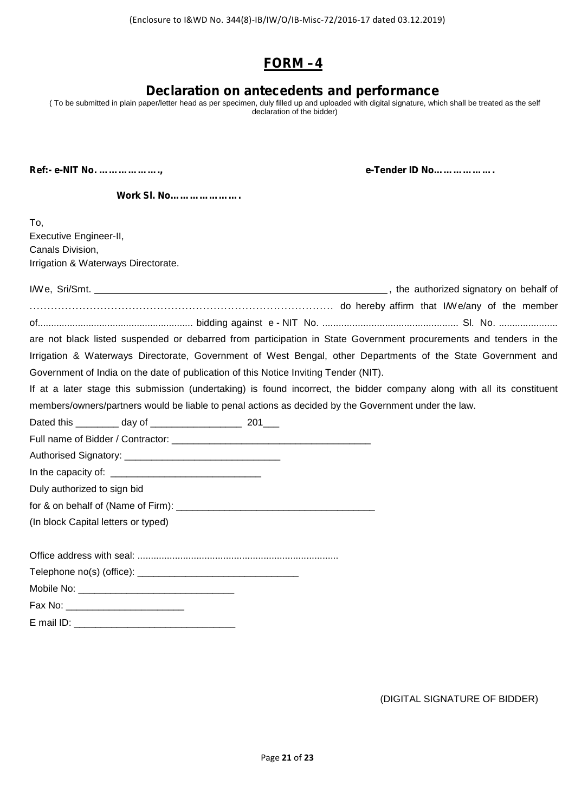# **FORM –4**

# **Declaration on antecedents and performance**

( To be submitted in plain paper/letter head as per specimen, duly filled up and uploaded with digital signature, which shall be treated as the self declaration of the bidder)

**Ref:- e-NIT No. ………………., e-Tender ID No……………….**

**Work Sl. No………………….**

| To,                                                                                                                     |
|-------------------------------------------------------------------------------------------------------------------------|
| Executive Engineer-II,                                                                                                  |
| Canals Division,                                                                                                        |
| Irrigation & Waterways Directorate.                                                                                     |
|                                                                                                                         |
|                                                                                                                         |
|                                                                                                                         |
| are not black listed suspended or debarred from participation in State Government procurements and tenders in the       |
| Irrigation & Waterways Directorate, Government of West Bengal, other Departments of the State Government and            |
| Government of India on the date of publication of this Notice Inviting Tender (NIT).                                    |
| If at a later stage this submission (undertaking) is found incorrect, the bidder company along with all its constituent |
| members/owners/partners would be liable to penal actions as decided by the Government under the law.                    |
|                                                                                                                         |
|                                                                                                                         |
|                                                                                                                         |
|                                                                                                                         |
| Duly authorized to sign bid                                                                                             |
|                                                                                                                         |
| (In block Capital letters or typed)                                                                                     |
|                                                                                                                         |
|                                                                                                                         |
|                                                                                                                         |
|                                                                                                                         |
|                                                                                                                         |
|                                                                                                                         |

(DIGITAL SIGNATURE OF BIDDER)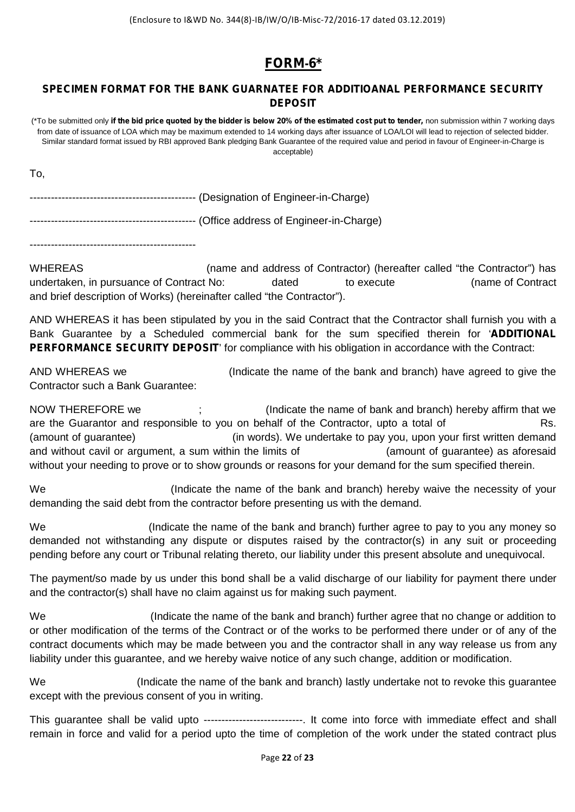# **FORM-6\***

## **SPECIMEN FORMAT FOR THE BANK GUARNATEE FOR ADDITIOANAL PERFORMANCE SECURITY DEPOSIT**

(\*To be submitted only **if the bid price quoted by the bidder is below 20% of the estimated cost put to tender,** non submission within 7 working days from date of issuance of LOA which may be maximum extended to 14 working days after issuance of LOA/LOI will lead to rejection of selected bidder. Similar standard format issued by RBI approved Bank pledging Bank Guarantee of the required value and period in favour of Engineer-in-Charge is acceptable)

To,

----------------------------------------------- (Designation of Engineer-in-Charge)

----------------------------------------------- (Office address of Engineer-in-Charge)

-----------------------------------------------

WHEREAS (name and address of Contractor) (hereafter called "the Contractor") has undertaken, in pursuance of Contract No: dated to execute (name of Contract and brief description of Works) (hereinafter called "the Contractor").

AND WHEREAS it has been stipulated by you in the said Contract that the Contractor shall furnish you with a Bank Guarantee by a Scheduled commercial bank for the sum specified therein for '**ADDITIONAL PERFORMANCE SECURITY DEPOSIT**' for compliance with his obligation in accordance with the Contract:

AND WHEREAS we (Indicate the name of the bank and branch) have agreed to give the Contractor such a Bank Guarantee:

NOW THEREFORE we ; (Indicate the name of bank and branch) hereby affirm that we are the Guarantor and responsible to you on behalf of the Contractor, upto a total of Rs. (amount of guarantee) (in words). We undertake to pay you, upon your first written demand and without cavil or argument, a sum within the limits of **Example 20** (amount of guarantee) as aforesaid without your needing to prove or to show grounds or reasons for your demand for the sum specified therein.

We **South Controller Controller (Indicate the name of the bank and branch) hereby waive the necessity of your** demanding the said debt from the contractor before presenting us with the demand.

We (Indicate the name of the bank and branch) further agree to pay to you any money so demanded not withstanding any dispute or disputes raised by the contractor(s) in any suit or proceeding pending before any court or Tribunal relating thereto, our liability under this present absolute and unequivocal.

The payment/so made by us under this bond shall be a valid discharge of our liability for payment there under and the contractor(s) shall have no claim against us for making such payment.

We (Indicate the name of the bank and branch) further agree that no change or addition to or other modification of the terms of the Contract or of the works to be performed there under or of any of the contract documents which may be made between you and the contractor shall in any way release us from any liability under this guarantee, and we hereby waive notice of any such change, addition or modification.

We **Starpe in the indicate the name of the bank and branch**) lastly undertake not to revoke this quarantee except with the previous consent of you in writing.

This guarantee shall be valid upto ----------------------------. It come into force with immediate effect and shall remain in force and valid for a period upto the time of completion of the work under the stated contract plus